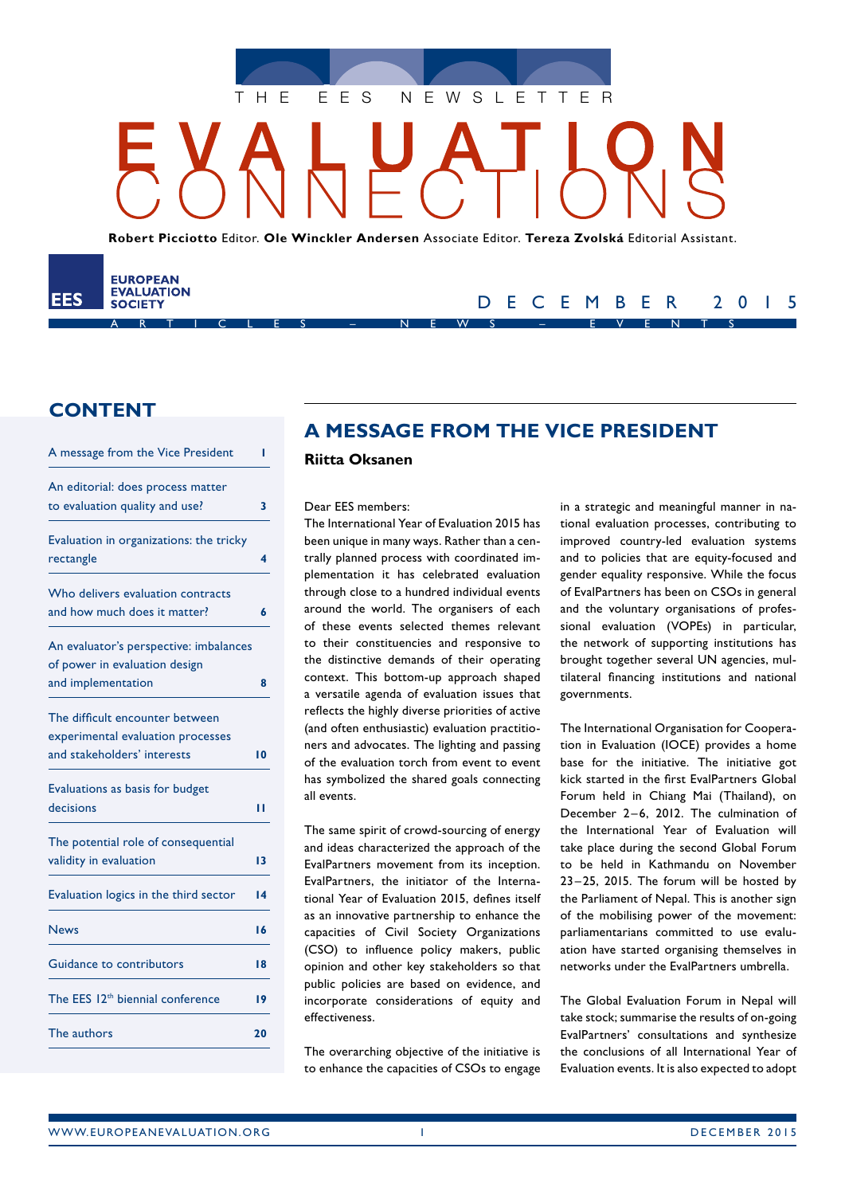

**Robert Picciotto** Editor. **Ole Winckler Andersen** Associate Editor. **Tereza Zvolská** Editorial Assistant.

ARTICLES – NEWS – EVENTS

## **CONTENT**

EES

**EUROPEAN EVALUATION** 

**SOCIETY** 

| A message from the Vice President            | ı  |
|----------------------------------------------|----|
| An editorial: does process matter            |    |
| to evaluation quality and use?               | 3  |
| Evaluation in organizations: the tricky      |    |
| rectangle                                    | 4  |
| Who delivers evaluation contracts            |    |
| and how much does it matter?                 | 6  |
| An evaluator's perspective: imbalances       |    |
| of power in evaluation design                |    |
| and implementation                           | 8  |
| The difficult encounter between              |    |
| experimental evaluation processes            |    |
| and stakeholders' interests                  | 10 |
| Evaluations as basis for budget              |    |
| decisions                                    | п  |
| The potential role of consequential          |    |
| validity in evaluation                       | 13 |
| Evaluation logics in the third sector        | 14 |
| <b>News</b>                                  | 16 |
| Guidance to contributors                     | 18 |
| The EES 12 <sup>th</sup> biennial conference | 19 |
| The authors                                  | 20 |
|                                              |    |

## **A MESSAGE FROM THE VICE PRESIDENT**

### **Riitta Oksanen**

#### Dear EES members:

The International Year of Evaluation 2015 has been unique in many ways. Rather than a centrally planned process with coordinated implementation it has celebrated evaluation through close to a hundred individual events around the world. The organisers of each of these events selected themes relevant to their constituencies and responsive to the distinctive demands of their operating context. This bottom-up approach shaped a versatile agenda of evaluation issues that reflects the highly diverse priorities of active (and often enthusiastic) evaluation practitioners and advocates. The lighting and passing of the evaluation torch from event to event has symbolized the shared goals connecting all events.

The same spirit of crowd-sourcing of energy and ideas characterized the approach of the EvalPartners movement from its inception. EvalPartners, the initiator of the International Year of Evaluation 2015, defines itself as an innovative partnership to enhance the capacities of Civil Society Organizations (CSO) to influence policy makers, public opinion and other key stakeholders so that public policies are based on evidence, and incorporate considerations of equity and effectiveness.

The overarching objective of the initiative is to enhance the capacities of CSOs to engage in a strategic and meaningful manner in national evaluation processes, contributing to improved country-led evaluation systems and to policies that are equity-focused and gender equality responsive. While the focus of EvalPartners has been on CSOs in general and the voluntary organisations of professional evaluation (VOPEs) in particular, the network of supporting institutions has brought together several UN agencies, multilateral financing institutions and national governments.

DECEMBER 2015

The International Organisation for Cooperation in Evaluation (IOCE) provides a home base for the initiative. The initiative got kick started in the first EvalPartners Global Forum held in Chiang Mai (Thailand), on December 2–6, 2012. The culmination of the International Year of Evaluation will take place during the second Global Forum to be held in Kathmandu on November 23 –25, 2015. The forum will be hosted by the Parliament of Nepal. This is another sign of the mobilising power of the movement: parliamentarians committed to use evaluation have started organising themselves in networks under the EvalPartners umbrella.

The Global Evaluation Forum in Nepal will take stock; summarise the results of on-going EvalPartners' consultations and synthesize the conclusions of all International Year of Evaluation events. It is also expected to adopt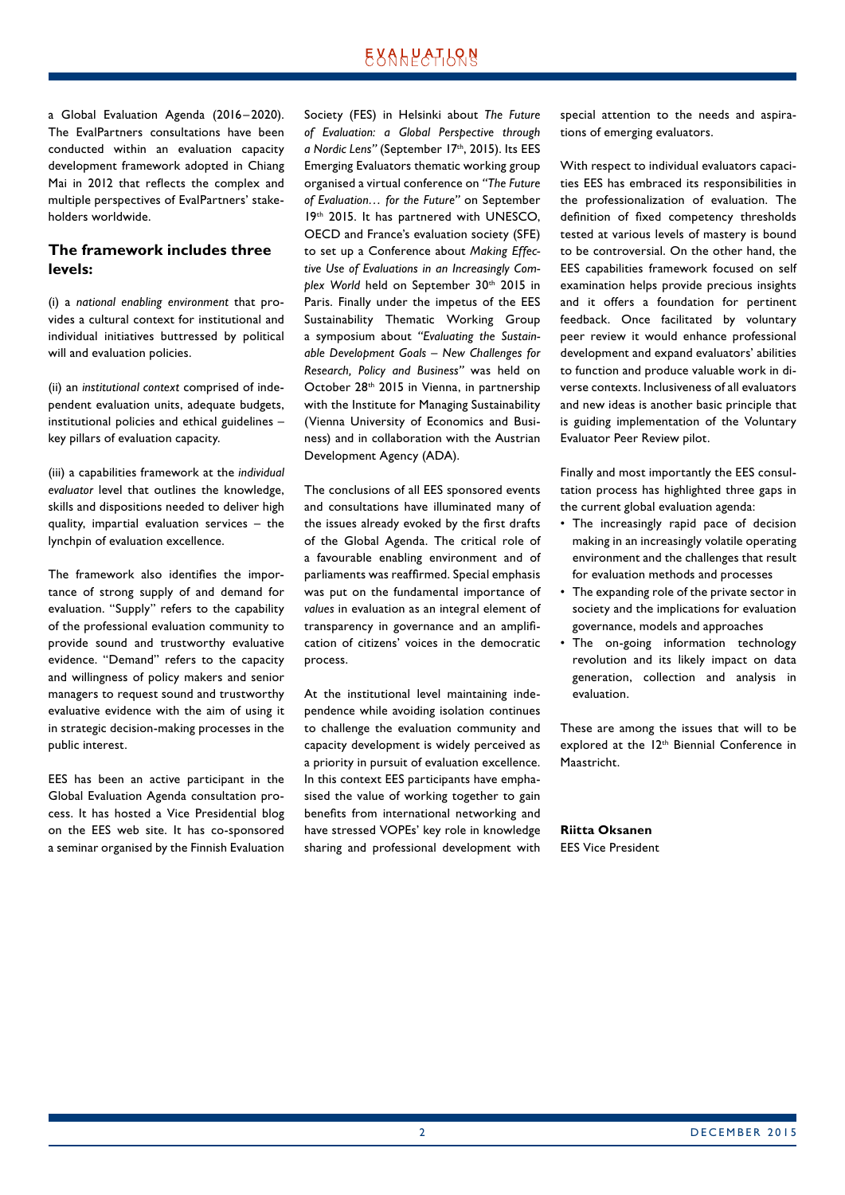a Global Evaluation Agenda (2016– 2020). The EvalPartners consultations have been conducted within an evaluation capacity development framework adopted in Chiang Mai in 2012 that reflects the complex and multiple perspectives of EvalPartners' stakeholders worldwide.

#### **The framework includes three levels:**

(i) a *national enabling environment* that provides a cultural context for institutional and individual initiatives buttressed by political will and evaluation policies.

(ii) an *institutional context* comprised of independent evaluation units, adequate budgets, institutional policies and ethical guidelines – key pillars of evaluation capacity.

(iii) a capabilities framework at the *individual evaluator* level that outlines the knowledge, skills and dispositions needed to deliver high quality, impartial evaluation services – the lynchpin of evaluation excellence.

The framework also identifies the importance of strong supply of and demand for evaluation. "Supply" refers to the capability of the professional evaluation community to provide sound and trustworthy evaluative evidence. "Demand" refers to the capacity and willingness of policy makers and senior managers to request sound and trustworthy evaluative evidence with the aim of using it in strategic decision-making processes in the public interest.

EES has been an active participant in the Global Evaluation Agenda consultation process. It has hosted a Vice Presidential blog on the EES web site. It has co-sponsored a seminar organised by the Finnish Evaluation Society (FES) in Helsinki about *The Future of Evaluation: a Global Perspective through a Nordic Lens"* (September 17th, 2015). Its EES Emerging Evaluators thematic working group organised a virtual conference on *"The Future of Evaluation… for the Future"* on September 19th 2015. It has partnered with UNESCO, OECD and France's evaluation society (SFE) to set up a Conference about *Making Effective Use of Evaluations in an Increasingly Com*plex World held on September 30<sup>th</sup> 2015 in Paris. Finally under the impetus of the EES Sustainability Thematic Working Group a symposium about *"Evaluating the Sustainable Development Goals – New Challenges for Research, Policy and Business"* was held on October 28<sup>th</sup> 2015 in Vienna, in partnership with the Institute for Managing Sustainability (Vienna University of Economics and Business) and in collaboration with the Austrian Development Agency (ADA).

The conclusions of all EES sponsored events and consultations have illuminated many of the issues already evoked by the first drafts of the Global Agenda. The critical role of a favourable enabling environment and of parliaments was reaffirmed. Special emphasis was put on the fundamental importance of *values* in evaluation as an integral element of transparency in governance and an amplification of citizens' voices in the democratic process.

At the institutional level maintaining independence while avoiding isolation continues to challenge the evaluation community and capacity development is widely perceived as a priority in pursuit of evaluation excellence. In this context EES participants have emphasised the value of working together to gain benefits from international networking and have stressed VOPEs' key role in knowledge sharing and professional development with special attention to the needs and aspirations of emerging evaluators.

With respect to individual evaluators capacities EES has embraced its responsibilities in the professionalization of evaluation. The definition of fixed competency thresholds tested at various levels of mastery is bound to be controversial. On the other hand, the EES capabilities framework focused on self examination helps provide precious insights and it offers a foundation for pertinent feedback. Once facilitated by voluntary peer review it would enhance professional development and expand evaluators' abilities to function and produce valuable work in diverse contexts. Inclusiveness of all evaluators and new ideas is another basic principle that is guiding implementation of the Voluntary Evaluator Peer Review pilot.

Finally and most importantly the EES consultation process has highlighted three gaps in the current global evaluation agenda:

- The increasingly rapid pace of decision making in an increasingly volatile operating environment and the challenges that result for evaluation methods and processes
- The expanding role of the private sector in society and the implications for evaluation governance, models and approaches
- The on-going information technology revolution and its likely impact on data generation, collection and analysis in evaluation.

These are among the issues that will to be explored at the 12<sup>th</sup> Biennial Conference in Maastricht.

**Riitta Oksanen** EES Vice President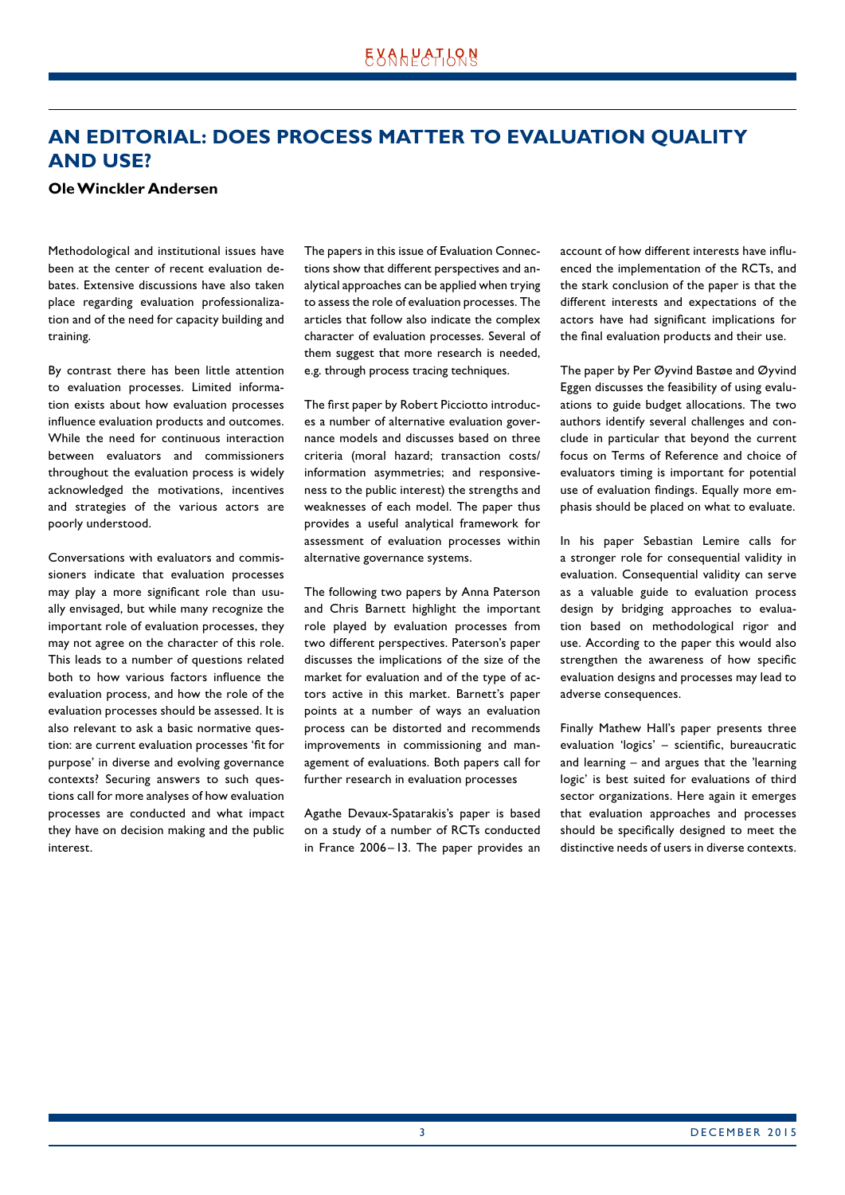## <span id="page-2-0"></span>**AN EDITORIAL: DOES PROCESS MATTER TO EVALUATION QUALITY AND USE?**

#### **Ole Winckler Andersen**

Methodological and institutional issues have been at the center of recent evaluation debates. Extensive discussions have also taken place regarding evaluation professionalization and of the need for capacity building and training.

By contrast there has been little attention to evaluation processes. Limited information exists about how evaluation processes influence evaluation products and outcomes. While the need for continuous interaction between evaluators and commissioners throughout the evaluation process is widely acknowledged the motivations, incentives and strategies of the various actors are poorly understood.

Conversations with evaluators and commissioners indicate that evaluation processes may play a more significant role than usually envisaged, but while many recognize the important role of evaluation processes, they may not agree on the character of this role. This leads to a number of questions related both to how various factors influence the evaluation process, and how the role of the evaluation processes should be assessed. It is also relevant to ask a basic normative question: are current evaluation processes 'fit for purpose' in diverse and evolving governance contexts? Securing answers to such questions call for more analyses of how evaluation processes are conducted and what impact they have on decision making and the public interest.

The papers in this issue of Evaluation Connections show that different perspectives and analytical approaches can be applied when trying to assess the role of evaluation processes. The articles that follow also indicate the complex character of evaluation processes. Several of them suggest that more research is needed, e.g. through process tracing techniques.

The first paper by Robert Picciotto introduces a number of alternative evaluation governance models and discusses based on three criteria (moral hazard; transaction costs/ information asymmetries; and responsiveness to the public interest) the strengths and weaknesses of each model. The paper thus provides a useful analytical framework for assessment of evaluation processes within alternative governance systems.

The following two papers by Anna Paterson and Chris Barnett highlight the important role played by evaluation processes from two different perspectives. Paterson's paper discusses the implications of the size of the market for evaluation and of the type of actors active in this market. Barnett's paper points at a number of ways an evaluation process can be distorted and recommends improvements in commissioning and management of evaluations. Both papers call for further research in evaluation processes

Agathe Devaux-Spatarakis's paper is based on a study of a number of RCTs conducted in France 2006–13. The paper provides an account of how different interests have influenced the implementation of the RCTs, and the stark conclusion of the paper is that the different interests and expectations of the actors have had significant implications for the final evaluation products and their use.

The paper by Per Øyvind Bastøe and Øyvind Eggen discusses the feasibility of using evaluations to guide budget allocations. The two authors identify several challenges and conclude in particular that beyond the current focus on Terms of Reference and choice of evaluators timing is important for potential use of evaluation findings. Equally more emphasis should be placed on what to evaluate.

In his paper Sebastian Lemire calls for a stronger role for consequential validity in evaluation. Consequential validity can serve as a valuable guide to evaluation process design by bridging approaches to evaluation based on methodological rigor and use. According to the paper this would also strengthen the awareness of how specific evaluation designs and processes may lead to adverse consequences.

Finally Mathew Hall's paper presents three evaluation 'logics' – scientific, bureaucratic and learning – and argues that the 'learning logic' is best suited for evaluations of third sector organizations. Here again it emerges that evaluation approaches and processes should be specifically designed to meet the distinctive needs of users in diverse contexts.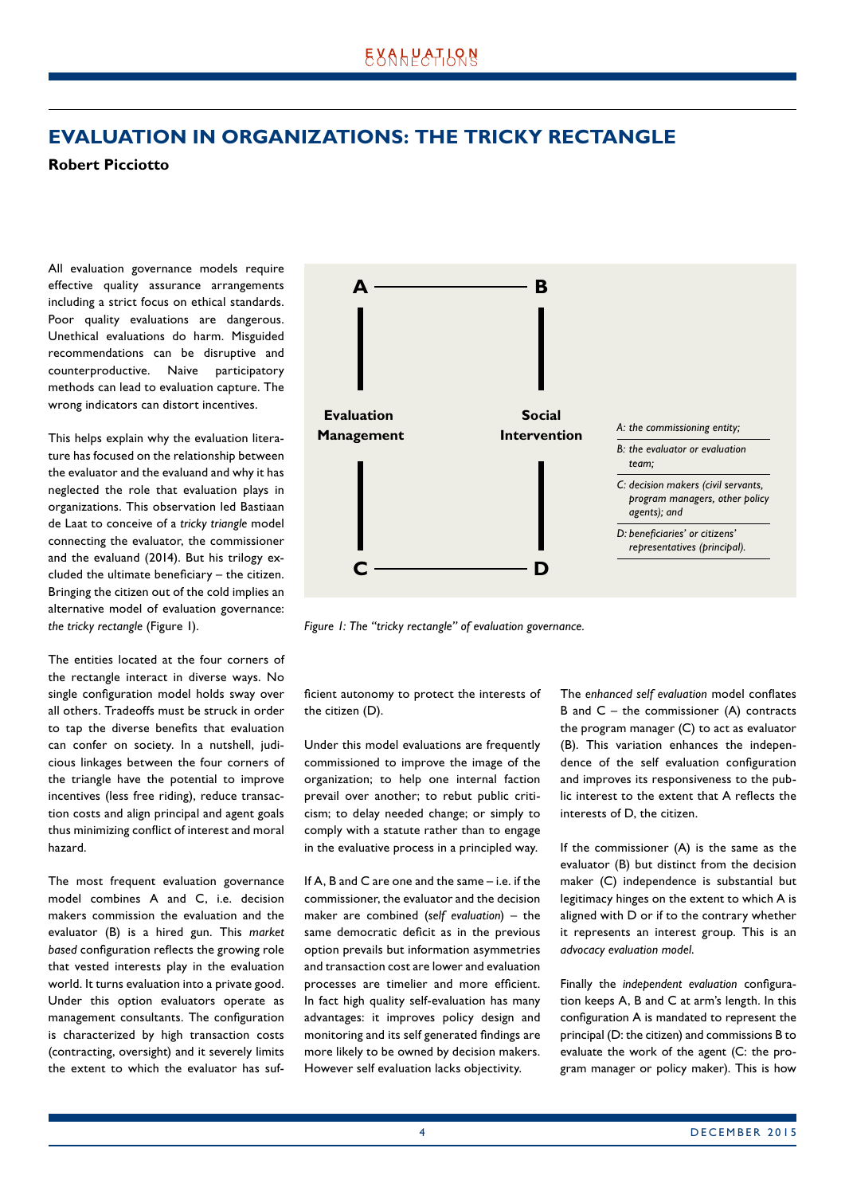## <span id="page-3-0"></span>**EVALUATION IN ORGANIZATIONS: THE TRICKY RECTANGLE**

#### **Robert Picciotto**

All evaluation governance models require effective quality assurance arrangements including a strict focus on ethical standards. Poor quality evaluations are dangerous. Unethical evaluations do harm. Misguided recommendations can be disruptive and counterproductive. Naive participatory methods can lead to evaluation capture. The wrong indicators can distort incentives.

This helps explain why the evaluation literature has focused on the relationship between the evaluator and the evaluand and why it has neglected the role that evaluation plays in organizations. This observation led Bastiaan de Laat to conceive of a *tricky triangle* model connecting the evaluator, the commissioner and the evaluand (2014). But his trilogy excluded the ultimate beneficiary – the citizen. Bringing the citizen out of the cold implies an alternative model of evaluation governance: *the tricky rectangle* (Figure 1).

The entities located at the four corners of the rectangle interact in diverse ways. No single configuration model holds sway over all others. Tradeoffs must be struck in order to tap the diverse benefits that evaluation can confer on society. In a nutshell, judicious linkages between the four corners of the triangle have the potential to improve incentives (less free riding), reduce transaction costs and align principal and agent goals thus minimizing conflict of interest and moral hazard.

The most frequent evaluation governance model combines A and C, i.e. decision makers commission the evaluation and the evaluator (B) is a hired gun. This *market based* configuration reflects the growing role that vested interests play in the evaluation world. It turns evaluation into a private good. Under this option evaluators operate as management consultants. The configuration is characterized by high transaction costs (contracting, oversight) and it severely limits the extent to which the evaluator has suf-



*Figure 1: The "tricky rectangle" of evaluation governance.*

ficient autonomy to protect the interests of the citizen (D).

Under this model evaluations are frequently commissioned to improve the image of the organization; to help one internal faction prevail over another; to rebut public criticism; to delay needed change; or simply to comply with a statute rather than to engage in the evaluative process in a principled way.

If A, B and C are one and the same – i.e. if the commissioner, the evaluator and the decision maker are combined (*self evaluation*) – the same democratic deficit as in the previous option prevails but information asymmetries and transaction cost are lower and evaluation processes are timelier and more efficient. In fact high quality self-evaluation has many advantages: it improves policy design and monitoring and its self generated findings are more likely to be owned by decision makers. However self evaluation lacks objectivity.

The *enhanced self evaluation* model conflates B and  $C$  – the commissioner  $(A)$  contracts the program manager (C) to act as evaluator (B). This variation enhances the independence of the self evaluation configuration and improves its responsiveness to the public interest to the extent that A reflects the interests of D, the citizen.

If the commissioner (A) is the same as the evaluator (B) but distinct from the decision maker (C) independence is substantial but legitimacy hinges on the extent to which A is aligned with D or if to the contrary whether it represents an interest group. This is an *advocacy evaluation model*.

Finally the *independent evaluation* configuration keeps A, B and C at arm's length. In this configuration A is mandated to represent the principal (D: the citizen) and commissions B to evaluate the work of the agent (C: the program manager or policy maker). This is how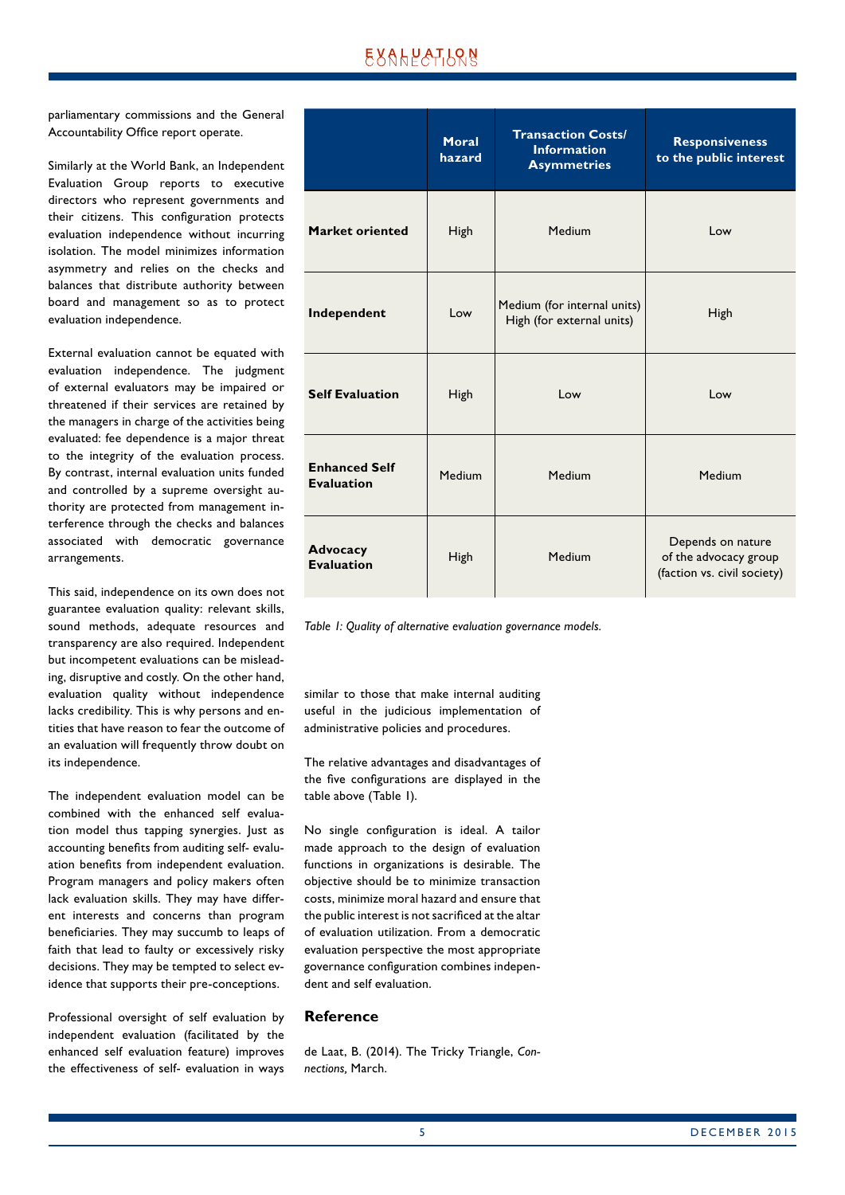## UXAHPATISN

parliamentary commissions and the General Accountability Office report operate.

Similarly at the World Bank, an Independent Evaluation Group reports to executive directors who represent governments and their citizens. This configuration protects evaluation independence without incurring isolation. The model minimizes information asymmetry and relies on the checks and balances that distribute authority between board and management so as to protect evaluation independence.

External evaluation cannot be equated with evaluation independence. The judgment of external evaluators may be impaired or threatened if their services are retained by the managers in charge of the activities being evaluated: fee dependence is a major threat to the integrity of the evaluation process. By contrast, internal evaluation units funded and controlled by a supreme oversight authority are protected from management interference through the checks and balances associated with democratic governance arrangements.

This said, independence on its own does not guarantee evaluation quality: relevant skills, sound methods, adequate resources and transparency are also required. Independent but incompetent evaluations can be misleading, disruptive and costly. On the other hand, evaluation quality without independence lacks credibility. This is why persons and entities that have reason to fear the outcome of an evaluation will frequently throw doubt on its independence.

The independent evaluation model can be combined with the enhanced self evaluation model thus tapping synergies. Just as accounting benefits from auditing self- evaluation benefits from independent evaluation. Program managers and policy makers often lack evaluation skills. They may have different interests and concerns than program beneficiaries. They may succumb to leaps of faith that lead to faulty or excessively risky decisions. They may be tempted to select evidence that supports their pre-conceptions.

Professional oversight of self evaluation by independent evaluation (facilitated by the enhanced self evaluation feature) improves the effectiveness of self- evaluation in ways

|                                           | Moral<br>hazard | <b>Transaction Costs/</b><br><b>Information</b><br><b>Asymmetries</b> | <b>Responsiveness</b><br>to the public interest                           |
|-------------------------------------------|-----------------|-----------------------------------------------------------------------|---------------------------------------------------------------------------|
| Market oriented                           | High            | Medium                                                                | Low                                                                       |
| Independent                               | Low             | Medium (for internal units)<br>High (for external units)              | High                                                                      |
| <b>Self Evaluation</b>                    | High            | Low                                                                   | Low                                                                       |
| <b>Enhanced Self</b><br><b>Evaluation</b> | Medium          | Medium                                                                | Medium                                                                    |
| <b>Advocacy</b><br><b>Evaluation</b>      | High            | Medium                                                                | Depends on nature<br>of the advocacy group<br>(faction vs. civil society) |

*Table 1: Quality of alternative evaluation governance models.*

similar to those that make internal auditing useful in the judicious implementation of administrative policies and procedures.

The relative advantages and disadvantages of the five configurations are displayed in the table above (Table 1).

No single configuration is ideal. A tailor made approach to the design of evaluation functions in organizations is desirable. The objective should be to minimize transaction costs, minimize moral hazard and ensure that the public interest is not sacrificed at the altar of evaluation utilization. From a democratic evaluation perspective the most appropriate governance configuration combines independent and self evaluation.

#### **Reference**

de Laat, B. (2014). The Tricky Triangle, *Connections,* March.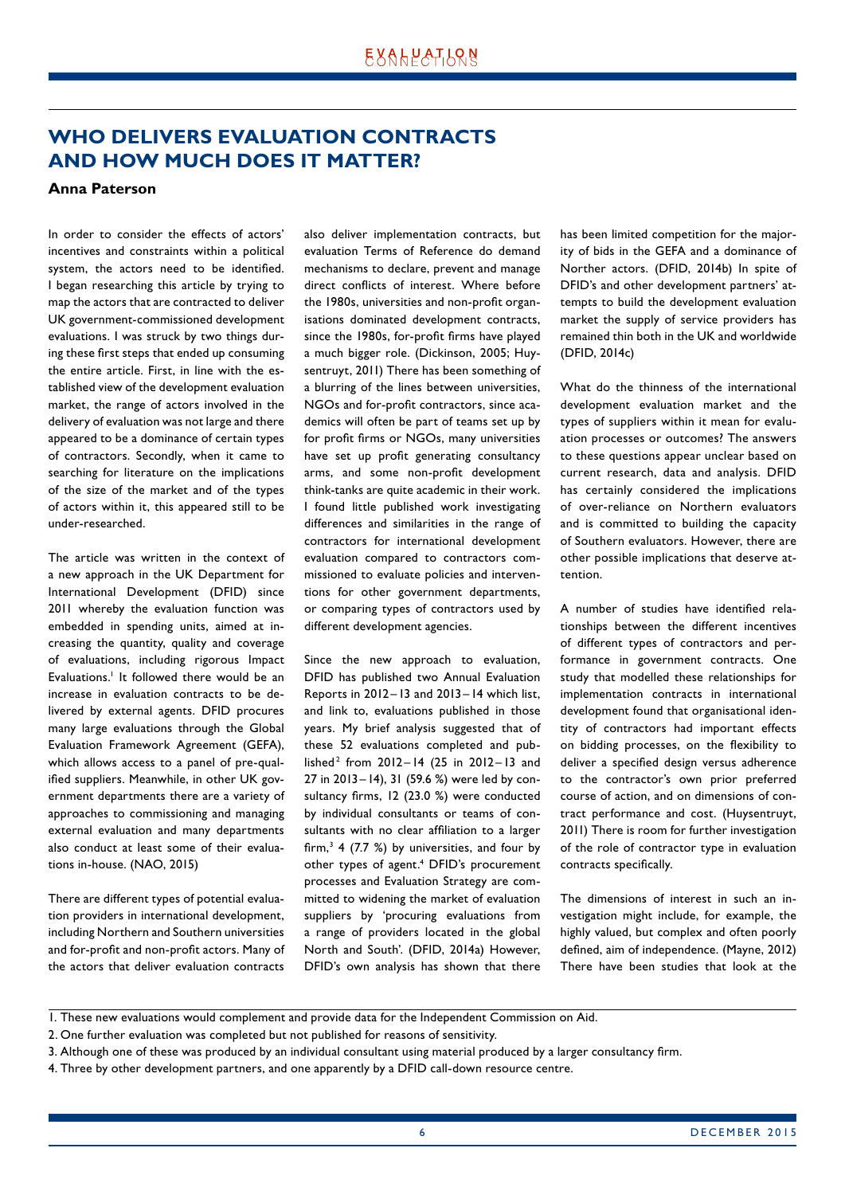## <span id="page-5-0"></span>**WHO DELIVERS EVALUATION CONTRACTS AND HOW MUCH DOES IT MATTER?**

#### **Anna Paterson**

In order to consider the effects of actors' incentives and constraints within a political system, the actors need to be identified. I began researching this article by trying to map the actors that are contracted to deliver UK government-commissioned development evaluations. I was struck by two things during these first steps that ended up consuming the entire article. First, in line with the established view of the development evaluation market, the range of actors involved in the delivery of evaluation was not large and there appeared to be a dominance of certain types of contractors. Secondly, when it came to searching for literature on the implications of the size of the market and of the types of actors within it, this appeared still to be under-researched.

The article was written in the context of a new approach in the UK Department for International Development (DFID) since 2011 whereby the evaluation function was embedded in spending units, aimed at increasing the quantity, quality and coverage of evaluations, including rigorous Impact Evaluations.<sup>1</sup> It followed there would be an increase in evaluation contracts to be delivered by external agents. DFID procures many large evaluations through the Global Evaluation Framework Agreement (GEFA), which allows access to a panel of pre-qualified suppliers. Meanwhile, in other UK government departments there are a variety of approaches to commissioning and managing external evaluation and many departments also conduct at least some of their evaluations in-house. (NAO, 2015)

There are different types of potential evaluation providers in international development, including Northern and Southern universities and for-profit and non-profit actors. Many of the actors that deliver evaluation contracts also deliver implementation contracts, but evaluation Terms of Reference do demand mechanisms to declare, prevent and manage direct conflicts of interest. Where before the 1980s, universities and non-profit organisations dominated development contracts, since the 1980s, for-profit firms have played a much bigger role. (Dickinson, 2005; Huysentruyt, 2011) There has been something of a blurring of the lines between universities, NGOs and for-profit contractors, since academics will often be part of teams set up by for profit firms or NGOs, many universities have set up profit generating consultancy arms, and some non-profit development think-tanks are quite academic in their work. I found little published work investigating differences and similarities in the range of contractors for international development evaluation compared to contractors commissioned to evaluate policies and interventions for other government departments, or comparing types of contractors used by different development agencies.

Since the new approach to evaluation, DFID has published two Annual Evaluation Reports in 2012–13 and 2013 –14 which list, and link to, evaluations published in those years. My brief analysis suggested that of these 52 evaluations completed and published<sup>2</sup> from 2012-14 (25 in 2012-13 and 27 in 2013–14), 31 (59.6 %) were led by consultancy firms, 12 (23.0 %) were conducted by individual consultants or teams of consultants with no clear affiliation to a larger firm,<sup>3</sup> 4 (7.7 %) by universities, and four by other types of agent.<sup>4</sup> DFID's procurement processes and Evaluation Strategy are committed to widening the market of evaluation suppliers by 'procuring evaluations from a range of providers located in the global North and South'. (DFID, 2014a) However, DFID's own analysis has shown that there

has been limited competition for the majority of bids in the GEFA and a dominance of Norther actors. (DFID, 2014b) In spite of DFID's and other development partners' attempts to build the development evaluation market the supply of service providers has remained thin both in the UK and worldwide (DFID, 2014c)

What do the thinness of the international development evaluation market and the types of suppliers within it mean for evaluation processes or outcomes? The answers to these questions appear unclear based on current research, data and analysis. DFID has certainly considered the implications of over-reliance on Northern evaluators and is committed to building the capacity of Southern evaluators. However, there are other possible implications that deserve attention.

A number of studies have identified relationships between the different incentives of different types of contractors and performance in government contracts. One study that modelled these relationships for implementation contracts in international development found that organisational identity of contractors had important effects on bidding processes, on the flexibility to deliver a specified design versus adherence to the contractor's own prior preferred course of action, and on dimensions of contract performance and cost. (Huysentruyt, 2011) There is room for further investigation of the role of contractor type in evaluation contracts specifically.

The dimensions of interest in such an investigation might include, for example, the highly valued, but complex and often poorly defined, aim of independence. (Mayne, 2012) There have been studies that look at the

4. Three by other development partners, and one apparently by a DFID call-down resource centre.

<sup>1.</sup> These new evaluations would complement and provide data for the Independent Commission on Aid.

<sup>2.</sup> One further evaluation was completed but not published for reasons of sensitivity.

<sup>3.</sup> Although one of these was produced by an individual consultant using material produced by a larger consultancy firm.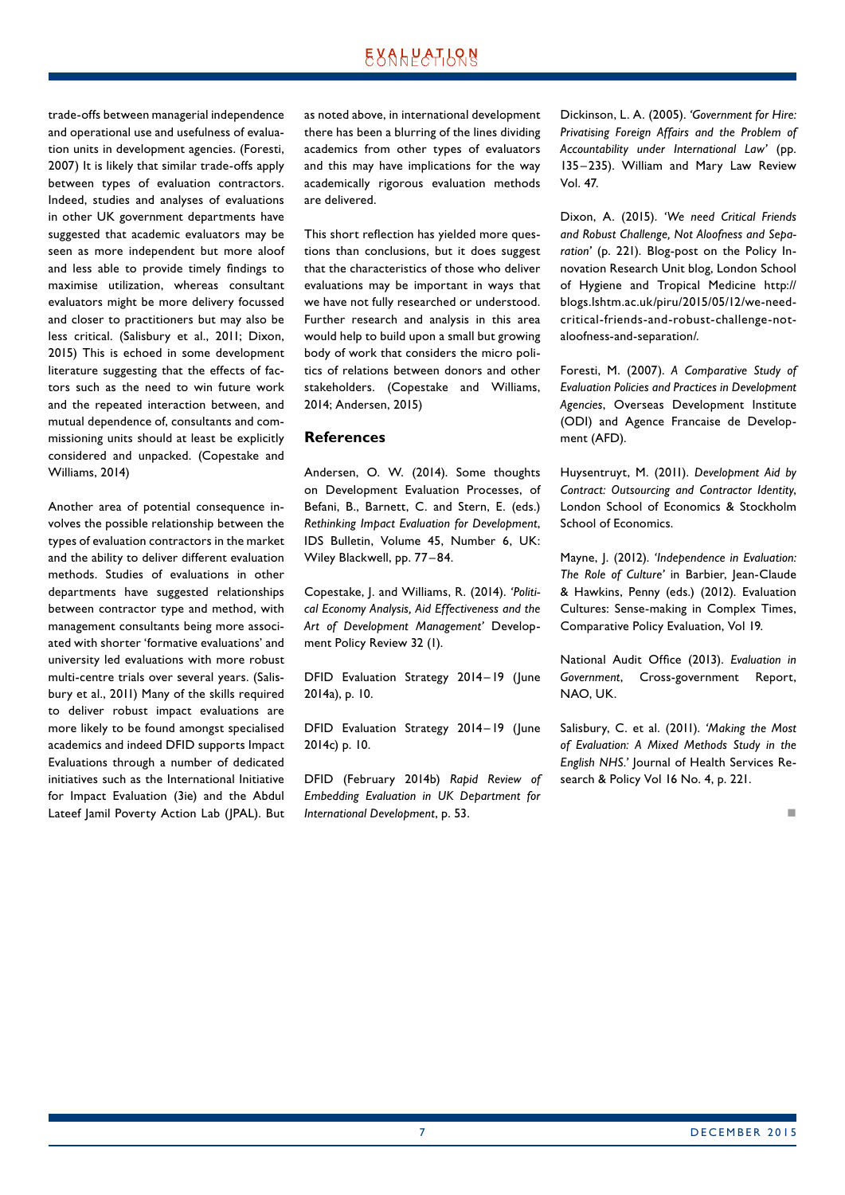trade-offs between managerial independence and operational use and usefulness of evaluation units in development agencies. (Foresti, 2007) It is likely that similar trade-offs apply between types of evaluation contractors. Indeed, studies and analyses of evaluations in other UK government departments have suggested that academic evaluators may be seen as more independent but more aloof and less able to provide timely findings to maximise utilization, whereas consultant evaluators might be more delivery focussed and closer to practitioners but may also be less critical. (Salisbury et al., 2011; Dixon, 2015) This is echoed in some development literature suggesting that the effects of factors such as the need to win future work and the repeated interaction between, and mutual dependence of, consultants and commissioning units should at least be explicitly considered and unpacked. (Copestake and Williams, 2014)

Another area of potential consequence involves the possible relationship between the types of evaluation contractors in the market and the ability to deliver different evaluation methods. Studies of evaluations in other departments have suggested relationships between contractor type and method, with management consultants being more associated with shorter 'formative evaluations' and university led evaluations with more robust multi-centre trials over several years. (Salisbury et al., 2011) Many of the skills required to deliver robust impact evaluations are more likely to be found amongst specialised academics and indeed DFID supports Impact Evaluations through a number of dedicated initiatives such as the International Initiative for Impact Evaluation (3ie) and the Abdul Lateef Jamil Poverty Action Lab (JPAL). But as noted above, in international development there has been a blurring of the lines dividing academics from other types of evaluators and this may have implications for the way academically rigorous evaluation methods are delivered.

This short reflection has yielded more questions than conclusions, but it does suggest that the characteristics of those who deliver evaluations may be important in ways that we have not fully researched or understood. Further research and analysis in this area would help to build upon a small but growing body of work that considers the micro politics of relations between donors and other stakeholders. (Copestake and Williams, 2014; Andersen, 2015)

#### **References**

Andersen, O. W. (2014). Some thoughts on Development Evaluation Processes, of Befani, B., Barnett, C. and Stern, E. (eds.) *Rethinking Impact Evaluation for Development*, IDS Bulletin, Volume 45, Number 6, UK: Wiley Blackwell, pp. 77-84.

Copestake, J. and Williams, R. (2014). *'Political Economy Analysis, Aid Effectiveness and the Art of Development Management'* Development Policy Review 32 (1).

DFID Evaluation Strategy 2014–19 (June 2014a), p. 10.

DFID Evaluation Strategy 2014–19 (June 2014c) p. 10.

DFID (February 2014b) *Rapid Review of Embedding Evaluation in UK Department for International Development*, p. 53.

Dickinson, L. A. (2005). *'Government for Hire: Privatising Foreign Affairs and the Problem of Accountability under International Law'* (pp. 135– 235). William and Mary Law Review Vol. 47.

Dixon, A. (2015). *'We need Critical Friends and Robust Challenge, Not Aloofness and Separation'* (p. 221). Blog-post on the Policy Innovation Research Unit blog, London School of Hygiene and Tropical Medicine http:// blogs.lshtm.ac.uk/piru/2015/05/12/we-needcritical-friends-and-robust-challenge-notaloofness-and-separation/.

Foresti, M. (2007). *A Comparative Study of Evaluation Policies and Practices in Development Agencies*, Overseas Development Institute (ODI) and Agence Francaise de Development (AFD).

Huysentruyt, M. (2011). *Development Aid by Contract: Outsourcing and Contractor Identity*, London School of Economics & Stockholm School of Economics.

Mayne, J. (2012). *'Independence in Evaluation: The Role of Culture'* in Barbier, Jean-Claude & Hawkins, Penny (eds.) (2012). Evaluation Cultures: Sense-making in Complex Times, Comparative Policy Evaluation, Vol 19.

National Audit Office (2013). *Evaluation in Government*, Cross-government Report, NAO, UK.

Salisbury, C. et al. (2011). *'Making the Most of Evaluation: A Mixed Methods Study in the English NHS.'* Journal of Health Services Research & Policy Vol 16 No. 4, p. 221.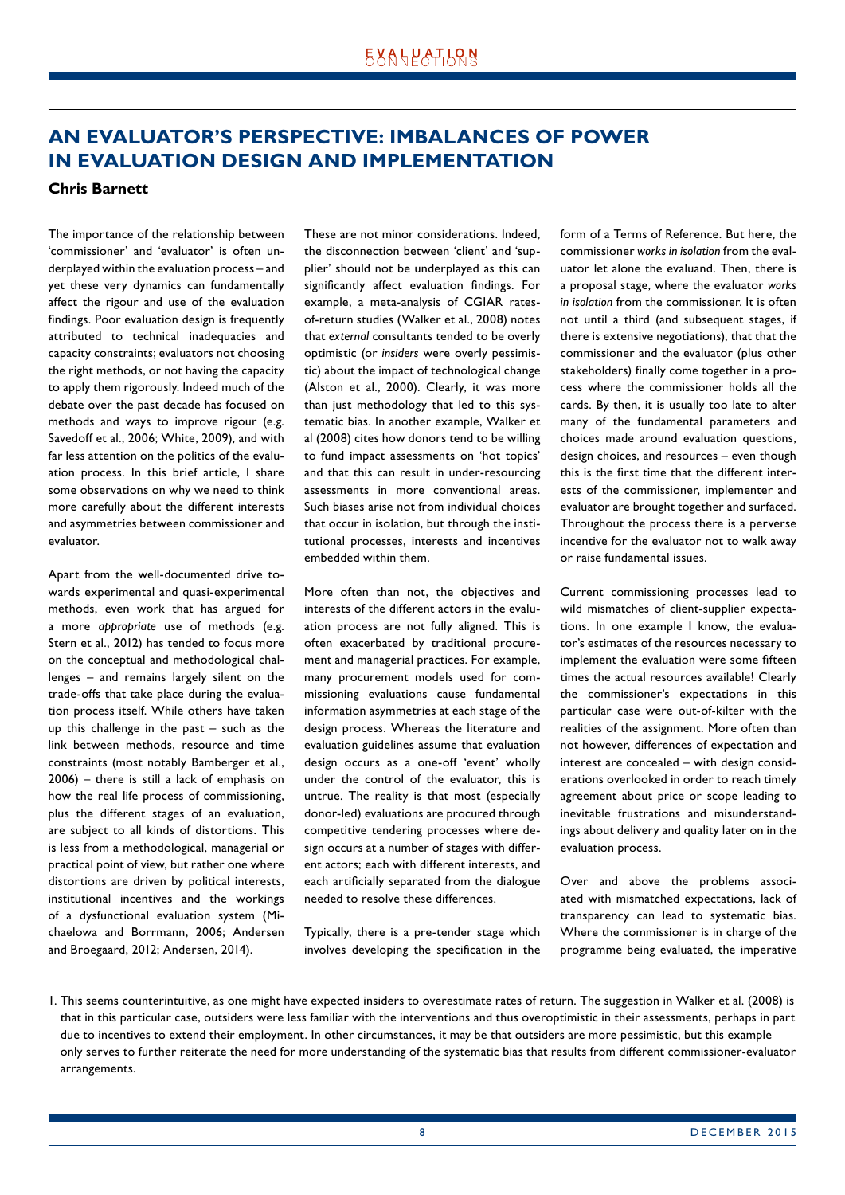## <span id="page-7-0"></span>**AN EVALUATOR'S PERSPECTIVE: IMBALANCES OF POWER IN EVALUATION DESIGN AND IMPLEMENTATION**

#### **Chris Barnett**

The importance of the relationship between 'commissioner' and 'evaluator' is often underplayed within the evaluation process – and yet these very dynamics can fundamentally affect the rigour and use of the evaluation findings. Poor evaluation design is frequently attributed to technical inadequacies and capacity constraints; evaluators not choosing the right methods, or not having the capacity to apply them rigorously. Indeed much of the debate over the past decade has focused on methods and ways to improve rigour (e.g. Savedoff et al., 2006; White, 2009), and with far less attention on the politics of the evaluation process. In this brief article, I share some observations on why we need to think more carefully about the different interests and asymmetries between commissioner and evaluator.

Apart from the well-documented drive towards experimental and quasi-experimental methods, even work that has argued for a more *appropriate* use of methods (e.g. Stern et al., 2012) has tended to focus more on the conceptual and methodological challenges – and remains largely silent on the trade-offs that take place during the evaluation process itself. While others have taken up this challenge in the past – such as the link between methods, resource and time constraints (most notably Bamberger et al., 2006) – there is still a lack of emphasis on how the real life process of commissioning, plus the different stages of an evaluation, are subject to all kinds of distortions. This is less from a methodological, managerial or practical point of view, but rather one where distortions are driven by political interests, institutional incentives and the workings of a dysfunctional evaluation system (Michaelowa and Borrmann, 2006; Andersen and Broegaard, 2012; Andersen, 2014).

These are not minor considerations. Indeed, the disconnection between 'client' and 'supplier' should not be underplayed as this can significantly affect evaluation findings. For example, a meta-analysis of CGIAR ratesof-return studies (Walker et al., 2008) notes that *external* consultants tended to be overly optimistic (or *insiders* were overly pessimistic) about the impact of technological change (Alston et al., 2000). Clearly, it was more than just methodology that led to this systematic bias. In another example, Walker et al (2008) cites how donors tend to be willing to fund impact assessments on 'hot topics' and that this can result in under-resourcing assessments in more conventional areas. Such biases arise not from individual choices that occur in isolation, but through the institutional processes, interests and incentives embedded within them.

More often than not, the objectives and interests of the different actors in the evaluation process are not fully aligned. This is often exacerbated by traditional procurement and managerial practices. For example, many procurement models used for commissioning evaluations cause fundamental information asymmetries at each stage of the design process. Whereas the literature and evaluation guidelines assume that evaluation design occurs as a one-off 'event' wholly under the control of the evaluator, this is untrue. The reality is that most (especially donor-led) evaluations are procured through competitive tendering processes where design occurs at a number of stages with different actors; each with different interests, and each artificially separated from the dialogue needed to resolve these differences.

Typically, there is a pre-tender stage which involves developing the specification in the

form of a Terms of Reference. But here, the commissioner *works in isolation* from the evaluator let alone the evaluand. Then, there is a proposal stage, where the evaluator *works in isolation* from the commissioner. It is often not until a third (and subsequent stages, if there is extensive negotiations), that that the commissioner and the evaluator (plus other stakeholders) finally come together in a process where the commissioner holds all the cards. By then, it is usually too late to alter many of the fundamental parameters and choices made around evaluation questions, design choices, and resources – even though this is the first time that the different interests of the commissioner, implementer and evaluator are brought together and surfaced. Throughout the process there is a perverse incentive for the evaluator not to walk away or raise fundamental issues.

Current commissioning processes lead to wild mismatches of client-supplier expectations. In one example I know, the evaluator's estimates of the resources necessary to implement the evaluation were some fifteen times the actual resources available! Clearly the commissioner's expectations in this particular case were out-of-kilter with the realities of the assignment. More often than not however, differences of expectation and interest are concealed – with design considerations overlooked in order to reach timely agreement about price or scope leading to inevitable frustrations and misunderstandings about delivery and quality later on in the evaluation process.

Over and above the problems associated with mismatched expectations, lack of transparency can lead to systematic bias. Where the commissioner is in charge of the programme being evaluated, the imperative

<sup>1.</sup> This seems counterintuitive, as one might have expected insiders to overestimate rates of return. The suggestion in Walker et al. (2008) is that in this particular case, outsiders were less familiar with the interventions and thus overoptimistic in their assessments, perhaps in part due to incentives to extend their employment. In other circumstances, it may be that outsiders are more pessimistic, but this example only serves to further reiterate the need for more understanding of the systematic bias that results from different commissioner-evaluator arrangements.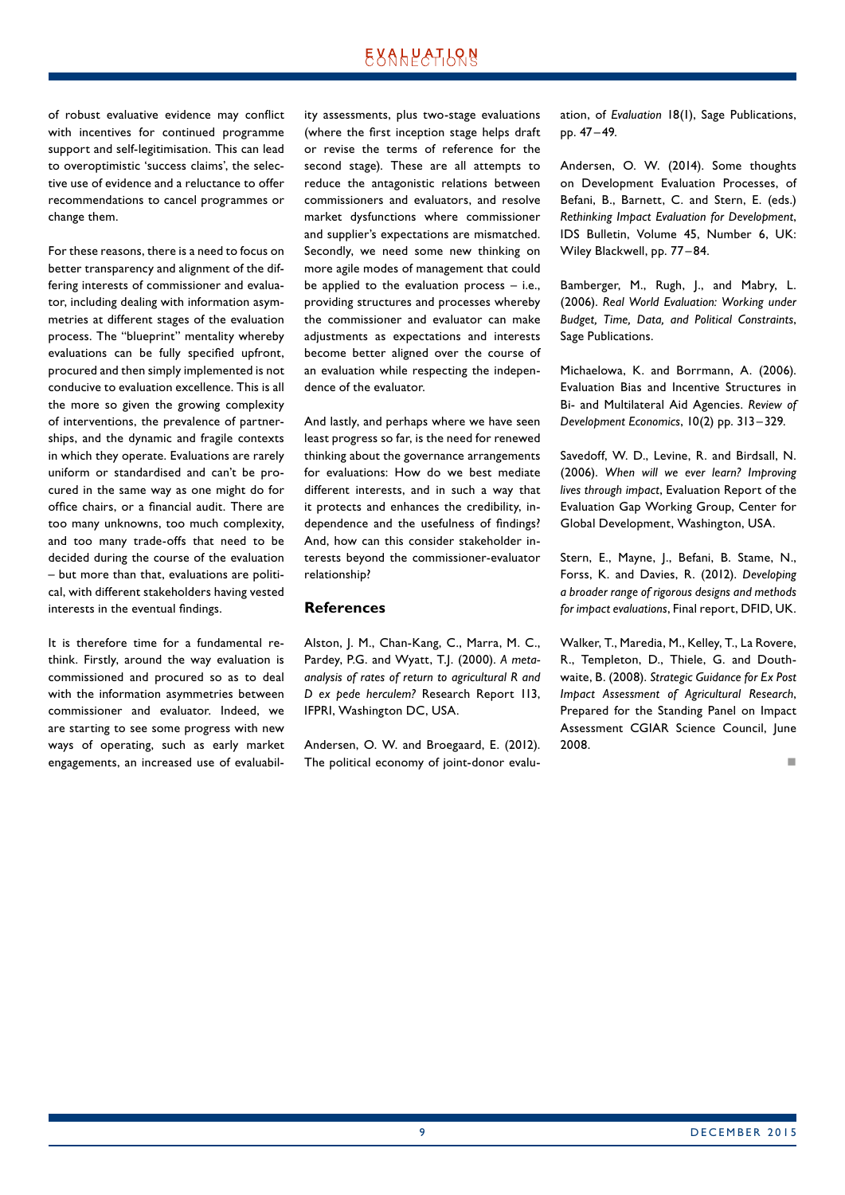of robust evaluative evidence may conflict with incentives for continued programme support and self-legitimisation. This can lead to overoptimistic 'success claims', the selective use of evidence and a reluctance to offer recommendations to cancel programmes or change them.

For these reasons, there is a need to focus on better transparency and alignment of the differing interests of commissioner and evaluator, including dealing with information asymmetries at different stages of the evaluation process. The "blueprint" mentality whereby evaluations can be fully specified upfront, procured and then simply implemented is not conducive to evaluation excellence. This is all the more so given the growing complexity of interventions, the prevalence of partnerships, and the dynamic and fragile contexts in which they operate. Evaluations are rarely uniform or standardised and can't be procured in the same way as one might do for office chairs, or a financial audit. There are too many unknowns, too much complexity, and too many trade-offs that need to be decided during the course of the evaluation – but more than that, evaluations are political, with different stakeholders having vested interests in the eventual findings.

It is therefore time for a fundamental rethink. Firstly, around the way evaluation is commissioned and procured so as to deal with the information asymmetries between commissioner and evaluator. Indeed, we are starting to see some progress with new ways of operating, such as early market engagements, an increased use of evaluability assessments, plus two-stage evaluations (where the first inception stage helps draft or revise the terms of reference for the second stage). These are all attempts to reduce the antagonistic relations between commissioners and evaluators, and resolve market dysfunctions where commissioner and supplier's expectations are mismatched. Secondly, we need some new thinking on more agile modes of management that could be applied to the evaluation process  $-$  i.e., providing structures and processes whereby the commissioner and evaluator can make adjustments as expectations and interests become better aligned over the course of an evaluation while respecting the independence of the evaluator.

And lastly, and perhaps where we have seen least progress so far, is the need for renewed thinking about the governance arrangements for evaluations: How do we best mediate different interests, and in such a way that it protects and enhances the credibility, independence and the usefulness of findings? And, how can this consider stakeholder interests beyond the commissioner-evaluator relationship?

#### **References**

Alston, J. M., Chan-Kang, C., Marra, M. C., Pardey, P.G. and Wyatt, T.J. (2000). *A metaanalysis of rates of return to agricultural R and D ex pede herculem?* Research Report 113, IFPRI, Washington DC, USA.

Andersen, O. W. and Broegaard, E. (2012). The political economy of joint-donor evaluation, of *Evaluation* 18(1), Sage Publications, pp. 47–49.

Andersen, O. W. (2014). Some thoughts on Development Evaluation Processes, of Befani, B., Barnett, C. and Stern, E. (eds.) *Rethinking Impact Evaluation for Development*, IDS Bulletin, Volume 45, Number 6, UK: Wiley Blackwell, pp. 77 –84.

Bamberger, M., Rugh, J., and Mabry, L. (2006). *Real World Evaluation: Working under Budget, Time, Data, and Political Constraints*, Sage Publications.

Michaelowa, K. and Borrmann, A. (2006). Evaluation Bias and Incentive Structures in Bi- and Multilateral Aid Agencies. *Review of Development Economics*, 10(2) pp. 313 –329.

Savedoff, W. D., Levine, R. and Birdsall, N. (2006). *When will we ever learn? Improving lives through impact*, Evaluation Report of the Evaluation Gap Working Group, Center for Global Development, Washington, USA.

Stern, E., Mayne, J., Befani, B. Stame, N., Forss, K. and Davies, R. (2012). *Developing a broader range of rigorous designs and methods for impact evaluations*, Final report, DFID, UK.

Walker, T., Maredia, M., Kelley, T., La Rovere, R., Templeton, D., Thiele, G. and Douthwaite, B. (2008). *Strategic Guidance for Ex Post Impact Assessment of Agricultural Research*, Prepared for the Standing Panel on Impact Assessment CGIAR Science Council, June 2008.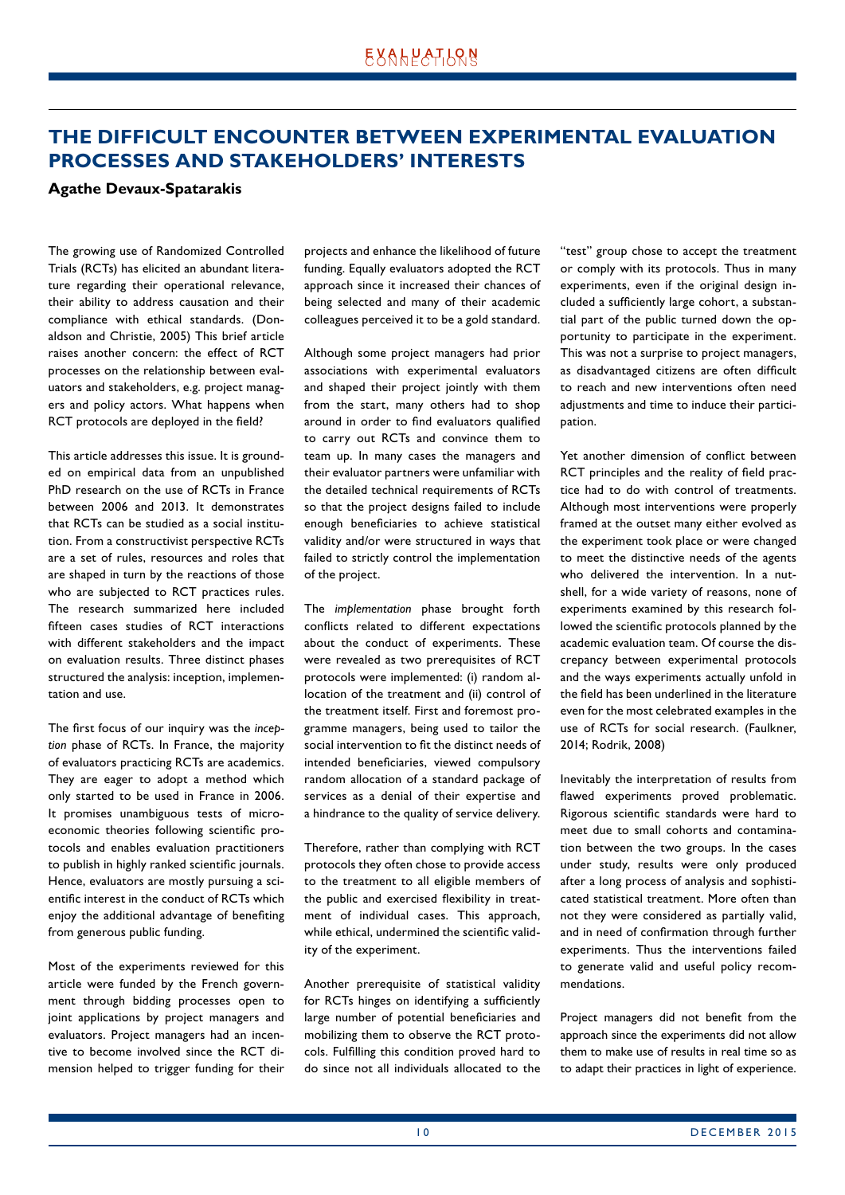## <span id="page-9-0"></span>**THE DIFFICULT ENCOUNTER BETWEEN EXPERIMENTAL EVALUATION PROCESSES AND STAKEHOLDERS' INTERESTS**

#### **Agathe Devaux-Spatarakis**

The growing use of Randomized Controlled Trials (RCTs) has elicited an abundant literature regarding their operational relevance, their ability to address causation and their compliance with ethical standards. (Donaldson and Christie, 2005) This brief article raises another concern: the effect of RCT processes on the relationship between evaluators and stakeholders, e.g. project managers and policy actors. What happens when RCT protocols are deployed in the field?

This article addresses this issue. It is grounded on empirical data from an unpublished PhD research on the use of RCTs in France between 2006 and 2013. It demonstrates that RCTs can be studied as a social institution. From a constructivist perspective RCTs are a set of rules, resources and roles that are shaped in turn by the reactions of those who are subjected to RCT practices rules. The research summarized here included fifteen cases studies of RCT interactions with different stakeholders and the impact on evaluation results. Three distinct phases structured the analysis: inception, implementation and use.

The first focus of our inquiry was the *inception* phase of RCTs. In France, the majority of evaluators practicing RCTs are academics. They are eager to adopt a method which only started to be used in France in 2006. It promises unambiguous tests of microeconomic theories following scientific protocols and enables evaluation practitioners to publish in highly ranked scientific journals. Hence, evaluators are mostly pursuing a scientific interest in the conduct of RCTs which enjoy the additional advantage of benefiting from generous public funding.

Most of the experiments reviewed for this article were funded by the French government through bidding processes open to joint applications by project managers and evaluators. Project managers had an incentive to become involved since the RCT dimension helped to trigger funding for their projects and enhance the likelihood of future funding. Equally evaluators adopted the RCT approach since it increased their chances of being selected and many of their academic colleagues perceived it to be a gold standard.

Although some project managers had prior associations with experimental evaluators and shaped their project jointly with them from the start, many others had to shop around in order to find evaluators qualified to carry out RCTs and convince them to team up. In many cases the managers and their evaluator partners were unfamiliar with the detailed technical requirements of RCTs so that the project designs failed to include enough beneficiaries to achieve statistical validity and/or were structured in ways that failed to strictly control the implementation of the project.

The *implementation* phase brought forth conflicts related to different expectations about the conduct of experiments. These were revealed as two prerequisites of RCT protocols were implemented: (i) random allocation of the treatment and (ii) control of the treatment itself. First and foremost programme managers, being used to tailor the social intervention to fit the distinct needs of intended beneficiaries, viewed compulsory random allocation of a standard package of services as a denial of their expertise and a hindrance to the quality of service delivery.

Therefore, rather than complying with RCT protocols they often chose to provide access to the treatment to all eligible members of the public and exercised flexibility in treatment of individual cases. This approach, while ethical, undermined the scientific validity of the experiment.

Another prerequisite of statistical validity for RCTs hinges on identifying a sufficiently large number of potential beneficiaries and mobilizing them to observe the RCT protocols. Fulfilling this condition proved hard to do since not all individuals allocated to the

"test" group chose to accept the treatment or comply with its protocols. Thus in many experiments, even if the original design included a sufficiently large cohort, a substantial part of the public turned down the opportunity to participate in the experiment. This was not a surprise to project managers, as disadvantaged citizens are often difficult to reach and new interventions often need adjustments and time to induce their participation.

Yet another dimension of conflict between RCT principles and the reality of field practice had to do with control of treatments. Although most interventions were properly framed at the outset many either evolved as the experiment took place or were changed to meet the distinctive needs of the agents who delivered the intervention. In a nutshell, for a wide variety of reasons, none of experiments examined by this research followed the scientific protocols planned by the academic evaluation team. Of course the discrepancy between experimental protocols and the ways experiments actually unfold in the field has been underlined in the literature even for the most celebrated examples in the use of RCTs for social research. (Faulkner, 2014; Rodrik, 2008)

Inevitably the interpretation of results from flawed experiments proved problematic. Rigorous scientific standards were hard to meet due to small cohorts and contamination between the two groups. In the cases under study, results were only produced after a long process of analysis and sophisticated statistical treatment. More often than not they were considered as partially valid, and in need of confirmation through further experiments. Thus the interventions failed to generate valid and useful policy recommendations.

Project managers did not benefit from the approach since the experiments did not allow them to make use of results in real time so as to adapt their practices in light of experience.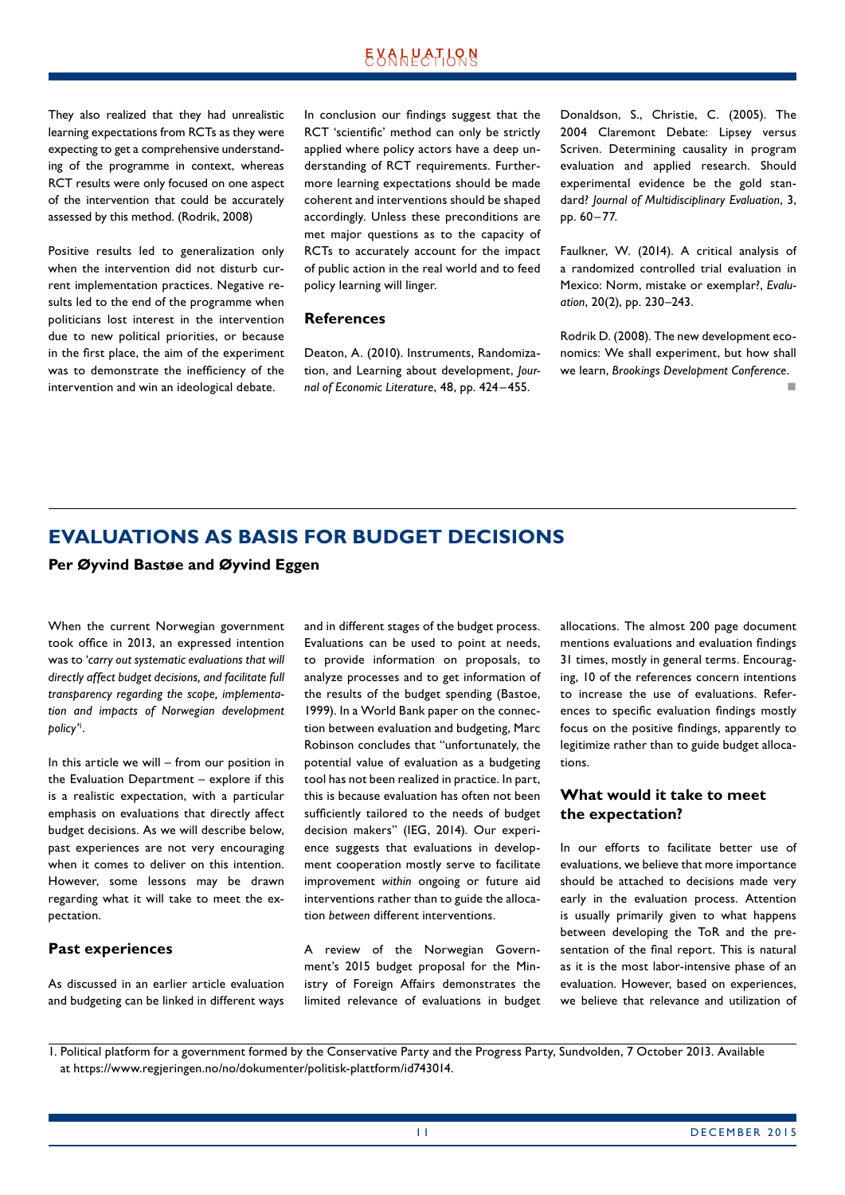## **EXALPATLQN**

<span id="page-10-0"></span>They also realized that they had unrealistic learning expectations from RCTs as they were expecting to get a comprehensive understanding of the programme in context, whereas RCT results were only focused on one aspect of the intervention that could be accurately assessed by this method. (Rodrik, 2008)

Positive results led to generalization only when the intervention did not disturb current implementation practices. Negative results led to the end of the programme when politicians lost interest in the intervention due to new political priorities, or because in the first place, the aim of the experiment was to demonstrate the inefficiency of the intervention and win an ideological debate.

In conclusion our findings suggest that the RCT 'scientific' method can only be strictly applied where policy actors have a deep understanding of RCT requirements. Furthermore learning expectations should be made coherent and interventions should be shaped accordingly. Unless these preconditions are met major questions as to the capacity of RCTs to accurately account for the impact of public action in the real world and to feed policy learning will linger.

#### **References**

Deaton, A. (2010). Instruments, Randomization, and Learning about development, *Journal of Economic Literature*, 48, pp. 424 –455.

Donaldson, S., Christie, C. (2005). The 2004 Claremont Debate: Lipsey versus Scriven. Determining causality in program evaluation and applied research. Should experimental evidence be the gold standard? *Journal of Multidisciplinary Evaluation*, 3, pp. 60 –77.

Faulkner, W. (2014). A critical analysis of a randomized controlled trial evaluation in Mexico: Norm, mistake or exemplar?, *Evaluation*, 20(2), pp. 230–243.

Rodrik D. (2008). The new development economics: We shall experiment, but how shall we learn, *Brookings Development Conference*. n

## **EVALUATIONS AS BASIS FOR BUDGET DECISIONS**

#### **Per Øyvind Bastøe and Øyvind Eggen**

When the current Norwegian government took office in 2013, an expressed intention was to '*carry out systematic evaluations that will directly affect budget decisions, and facilitate full transparency regarding the scope, implementation and impacts of Norwegian development policy'*<sup>1</sup> .

In this article we will – from our position in the Evaluation Department – explore if this is a realistic expectation, with a particular emphasis on evaluations that directly affect budget decisions. As we will describe below, past experiences are not very encouraging when it comes to deliver on this intention. However, some lessons may be drawn regarding what it will take to meet the expectation.

#### **Past experiences**

As discussed in an earlier article evaluation and budgeting can be linked in different ways and in different stages of the budget process. Evaluations can be used to point at needs, to provide information on proposals, to analyze processes and to get information of the results of the budget spending (Bastoe, 1999). In a World Bank paper on the connection between evaluation and budgeting, Marc Robinson concludes that "unfortunately, the potential value of evaluation as a budgeting tool has not been realized in practice. In part, this is because evaluation has often not been sufficiently tailored to the needs of budget decision makers" (IEG, 2014). Our experience suggests that evaluations in development cooperation mostly serve to facilitate improvement *within* ongoing or future aid interventions rather than to guide the allocation *between* different interventions.

A review of the Norwegian Government's 2015 budget proposal for the Ministry of Foreign Affairs demonstrates the limited relevance of evaluations in budget allocations. The almost 200 page document mentions evaluations and evaluation findings 31 times, mostly in general terms. Encouraging, 10 of the references concern intentions to increase the use of evaluations. References to specific evaluation findings mostly focus on the positive findings, apparently to legitimize rather than to guide budget allocations.

#### **What would it take to meet the expectation?**

In our efforts to facilitate better use of evaluations, we believe that more importance should be attached to decisions made very early in the evaluation process. Attention is usually primarily given to what happens between developing the ToR and the presentation of the final report. This is natural as it is the most labor-intensive phase of an evaluation. However, based on experiences, we believe that relevance and utilization of

1. Political platform for a government formed by the Conservative Party and the Progress Party, Sundvolden, 7 October 2013. Available at https://www.regjeringen.no/no/dokumenter/politisk-plattform/id743014.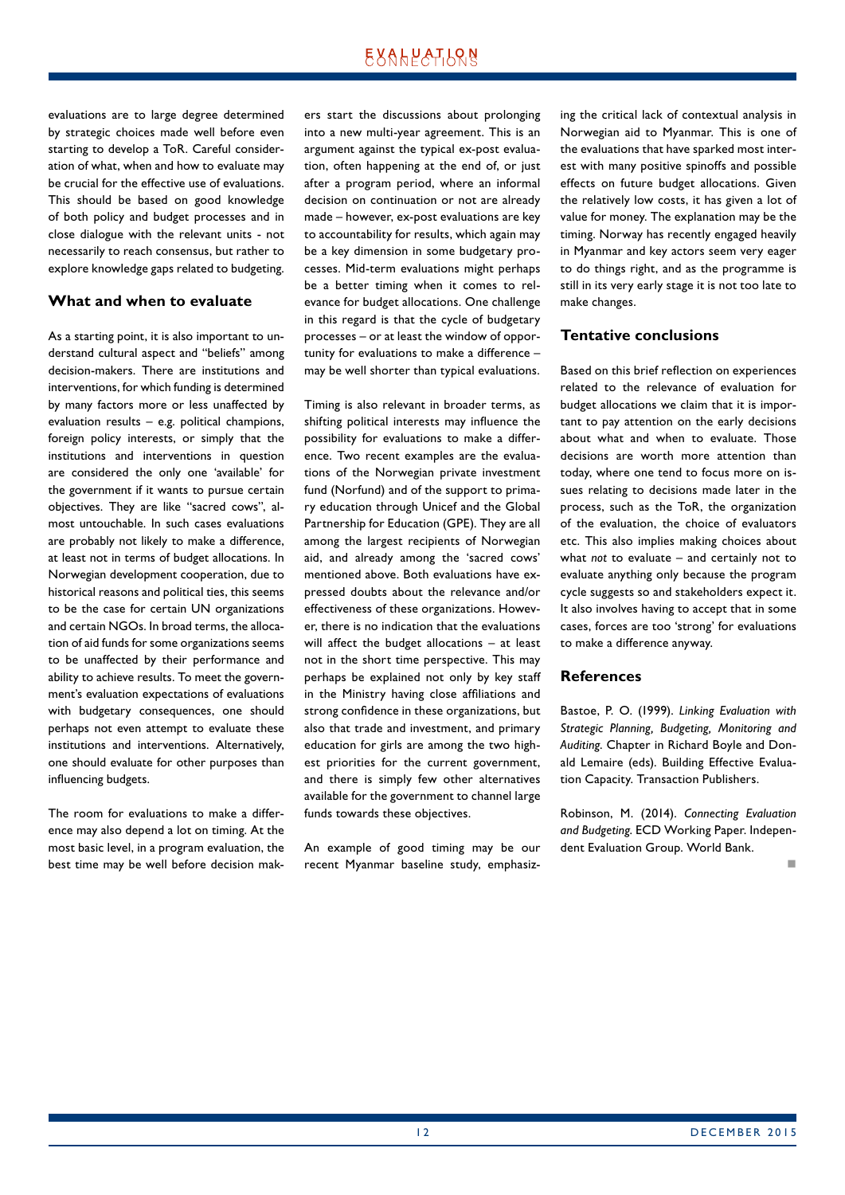evaluations are to large degree determined by strategic choices made well before even starting to develop a ToR. Careful consideration of what, when and how to evaluate may be crucial for the effective use of evaluations. This should be based on good knowledge of both policy and budget processes and in close dialogue with the relevant units - not necessarily to reach consensus, but rather to explore knowledge gaps related to budgeting.

#### **What and when to evaluate**

As a starting point, it is also important to understand cultural aspect and "beliefs" among decision-makers. There are institutions and interventions, for which funding is determined by many factors more or less unaffected by evaluation results – e.g. political champions, foreign policy interests, or simply that the institutions and interventions in question are considered the only one 'available' for the government if it wants to pursue certain objectives. They are like "sacred cows", almost untouchable. In such cases evaluations are probably not likely to make a difference, at least not in terms of budget allocations. In Norwegian development cooperation, due to historical reasons and political ties, this seems to be the case for certain UN organizations and certain NGOs. In broad terms, the allocation of aid funds for some organizations seems to be unaffected by their performance and ability to achieve results. To meet the government's evaluation expectations of evaluations with budgetary consequences, one should perhaps not even attempt to evaluate these institutions and interventions. Alternatively, one should evaluate for other purposes than influencing budgets.

The room for evaluations to make a difference may also depend a lot on timing. At the most basic level, in a program evaluation, the best time may be well before decision makers start the discussions about prolonging into a new multi-year agreement. This is an argument against the typical ex-post evaluation, often happening at the end of, or just after a program period, where an informal decision on continuation or not are already made – however, ex-post evaluations are key to accountability for results, which again may be a key dimension in some budgetary processes. Mid-term evaluations might perhaps be a better timing when it comes to relevance for budget allocations. One challenge in this regard is that the cycle of budgetary processes – or at least the window of opportunity for evaluations to make a difference – may be well shorter than typical evaluations.

Timing is also relevant in broader terms, as shifting political interests may influence the possibility for evaluations to make a difference. Two recent examples are the evaluations of the Norwegian private investment fund (Norfund) and of the support to primary education through Unicef and the Global Partnership for Education (GPE). They are all among the largest recipients of Norwegian aid, and already among the 'sacred cows' mentioned above. Both evaluations have expressed doubts about the relevance and/or effectiveness of these organizations. However, there is no indication that the evaluations will affect the budget allocations – at least not in the short time perspective. This may perhaps be explained not only by key staff in the Ministry having close affiliations and strong confidence in these organizations, but also that trade and investment, and primary education for girls are among the two highest priorities for the current government, and there is simply few other alternatives available for the government to channel large funds towards these objectives.

An example of good timing may be our recent Myanmar baseline study, emphasizing the critical lack of contextual analysis in Norwegian aid to Myanmar. This is one of the evaluations that have sparked most interest with many positive spinoffs and possible effects on future budget allocations. Given the relatively low costs, it has given a lot of value for money. The explanation may be the timing. Norway has recently engaged heavily in Myanmar and key actors seem very eager to do things right, and as the programme is still in its very early stage it is not too late to make changes.

#### **Tentative conclusions**

Based on this brief reflection on experiences related to the relevance of evaluation for budget allocations we claim that it is important to pay attention on the early decisions about what and when to evaluate. Those decisions are worth more attention than today, where one tend to focus more on issues relating to decisions made later in the process, such as the ToR, the organization of the evaluation, the choice of evaluators etc. This also implies making choices about what *not* to evaluate – and certainly not to evaluate anything only because the program cycle suggests so and stakeholders expect it. It also involves having to accept that in some cases, forces are too 'strong' for evaluations to make a difference anyway.

#### **References**

Bastoe, P. O. (1999). *Linking Evaluation with Strategic Planning, Budgeting, Monitoring and Auditing*. Chapter in Richard Boyle and Donald Lemaire (eds). Building Effective Evaluation Capacity. Transaction Publishers.

Robinson, M. (2014). *Connecting Evaluation and Budgeting*. ECD Working Paper. Independent Evaluation Group. World Bank.

n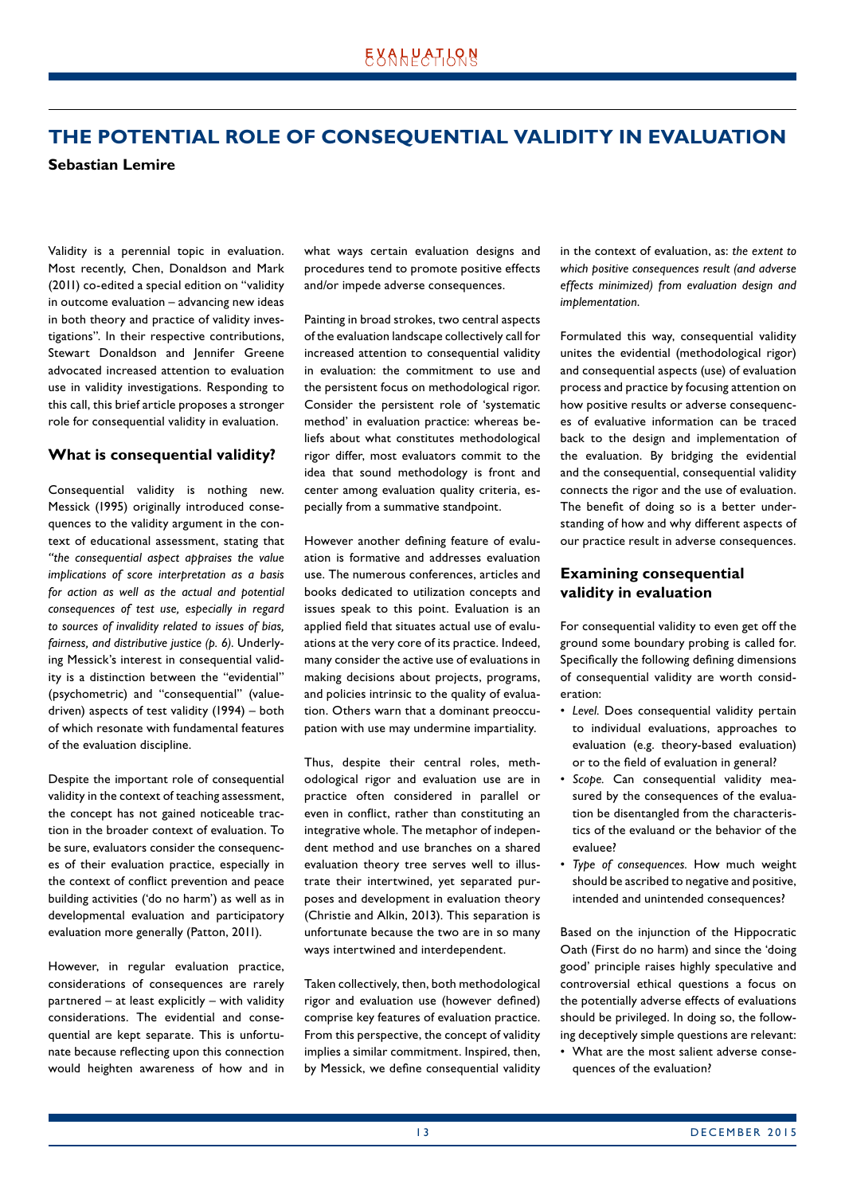## <span id="page-12-0"></span>**THE POTENTIAL ROLE OF CONSEQUENTIAL VALIDITY IN EVALUATION**

**Sebastian Lemire**

Validity is a perennial topic in evaluation. Most recently, Chen, Donaldson and Mark (2011) co-edited a special edition on "validity in outcome evaluation – advancing new ideas in both theory and practice of validity investigations". In their respective contributions, Stewart Donaldson and Jennifer Greene advocated increased attention to evaluation use in validity investigations. Responding to this call, this brief article proposes a stronger role for consequential validity in evaluation.

#### **What is consequential validity?**

Consequential validity is nothing new. Messick (1995) originally introduced consequences to the validity argument in the context of educational assessment, stating that *"the consequential aspect appraises the value implications of score interpretation as a basis for action as well as the actual and potential consequences of test use, especially in regard to sources of invalidity related to issues of bias, fairness, and distributive justice (p. 6)*. Underlying Messick's interest in consequential validity is a distinction between the "evidential" (psychometric) and "consequential" (valuedriven) aspects of test validity (1994) – both of which resonate with fundamental features of the evaluation discipline.

Despite the important role of consequential validity in the context of teaching assessment, the concept has not gained noticeable traction in the broader context of evaluation. To be sure, evaluators consider the consequences of their evaluation practice, especially in the context of conflict prevention and peace building activities ('do no harm') as well as in developmental evaluation and participatory evaluation more generally (Patton, 2011).

However, in regular evaluation practice, considerations of consequences are rarely partnered – at least explicitly – with validity considerations. The evidential and consequential are kept separate. This is unfortunate because reflecting upon this connection would heighten awareness of how and in what ways certain evaluation designs and procedures tend to promote positive effects and/or impede adverse consequences.

Painting in broad strokes, two central aspects of the evaluation landscape collectively call for increased attention to consequential validity in evaluation: the commitment to use and the persistent focus on methodological rigor. Consider the persistent role of 'systematic method' in evaluation practice: whereas beliefs about what constitutes methodological rigor differ, most evaluators commit to the idea that sound methodology is front and center among evaluation quality criteria, especially from a summative standpoint.

However another defining feature of evaluation is formative and addresses evaluation use. The numerous conferences, articles and books dedicated to utilization concepts and issues speak to this point. Evaluation is an applied field that situates actual use of evaluations at the very core of its practice. Indeed, many consider the active use of evaluations in making decisions about projects, programs, and policies intrinsic to the quality of evaluation. Others warn that a dominant preoccupation with use may undermine impartiality.

Thus, despite their central roles, methodological rigor and evaluation use are in practice often considered in parallel or even in conflict, rather than constituting an integrative whole. The metaphor of independent method and use branches on a shared evaluation theory tree serves well to illustrate their intertwined, yet separated purposes and development in evaluation theory (Christie and Alkin, 2013). This separation is unfortunate because the two are in so many ways intertwined and interdependent.

Taken collectively, then, both methodological rigor and evaluation use (however defined) comprise key features of evaluation practice. From this perspective, the concept of validity implies a similar commitment. Inspired, then, by Messick, we define consequential validity in the context of evaluation, as: *the extent to which positive consequences result (and adverse effects minimized) from evaluation design and implementation*.

Formulated this way, consequential validity unites the evidential (methodological rigor) and consequential aspects (use) of evaluation process and practice by focusing attention on how positive results or adverse consequences of evaluative information can be traced back to the design and implementation of the evaluation. By bridging the evidential and the consequential, consequential validity connects the rigor and the use of evaluation. The benefit of doing so is a better understanding of how and why different aspects of our practice result in adverse consequences.

#### **Examining consequential validity in evaluation**

For consequential validity to even get off the ground some boundary probing is called for. Specifically the following defining dimensions of consequential validity are worth consideration:

- *Level.* Does consequential validity pertain to individual evaluations, approaches to evaluation (e.g. theory-based evaluation) or to the field of evaluation in general?
- *Scope.* Can consequential validity measured by the consequences of the evaluation be disentangled from the characteristics of the evaluand or the behavior of the evaluee?
- *Type of consequences.* How much weight should be ascribed to negative and positive, intended and unintended consequences?

Based on the injunction of the Hippocratic Oath (First do no harm) and since the 'doing good' principle raises highly speculative and controversial ethical questions a focus on the potentially adverse effects of evaluations should be privileged. In doing so, the following deceptively simple questions are relevant:

• What are the most salient adverse consequences of the evaluation?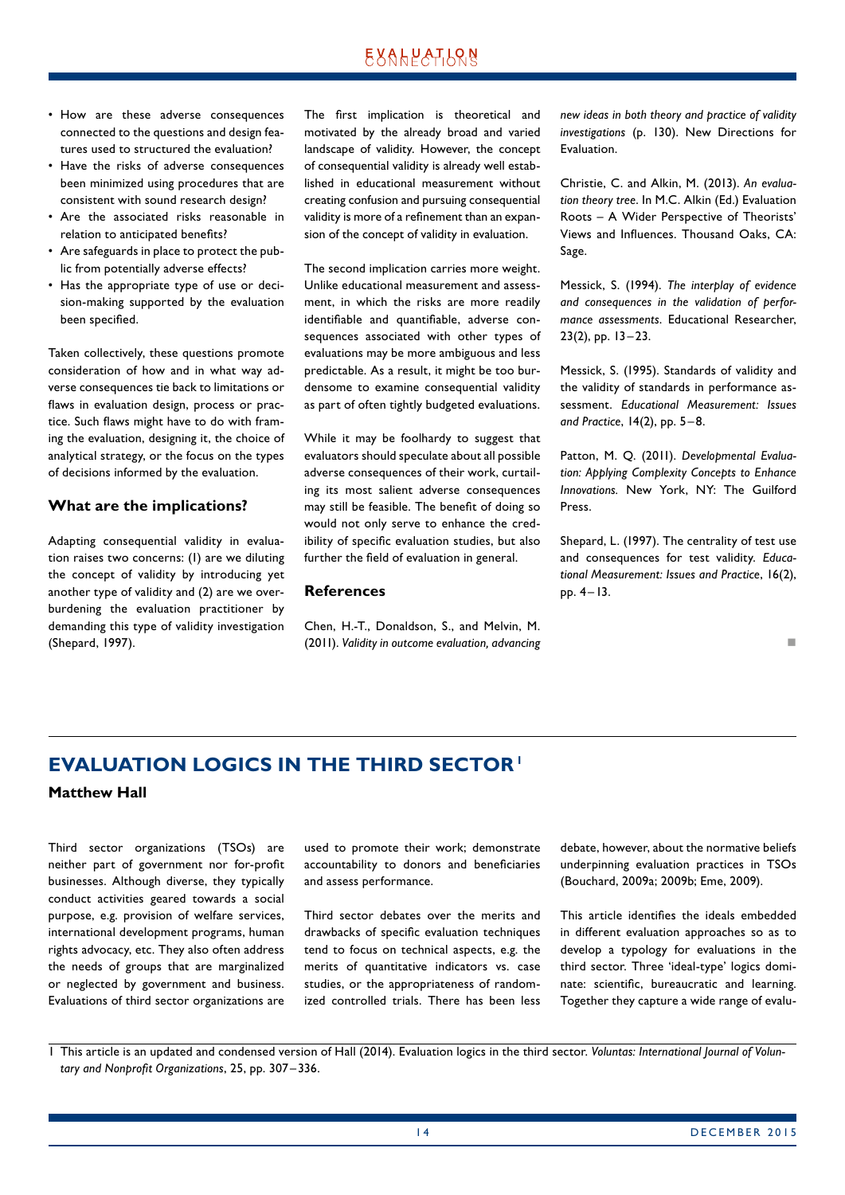## **EXALPATLQN**

- <span id="page-13-0"></span>• How are these adverse consequences connected to the questions and design features used to structured the evaluation?
- Have the risks of adverse consequences been minimized using procedures that are consistent with sound research design?
- Are the associated risks reasonable in relation to anticipated benefits?
- Are safeguards in place to protect the public from potentially adverse effects?
- Has the appropriate type of use or decision-making supported by the evaluation been specified.

Taken collectively, these questions promote consideration of how and in what way adverse consequences tie back to limitations or flaws in evaluation design, process or practice. Such flaws might have to do with framing the evaluation, designing it, the choice of analytical strategy, or the focus on the types of decisions informed by the evaluation.

#### **What are the implications?**

Adapting consequential validity in evaluation raises two concerns: (1) are we diluting the concept of validity by introducing yet another type of validity and (2) are we overburdening the evaluation practitioner by demanding this type of validity investigation (Shepard, 1997).

The first implication is theoretical and motivated by the already broad and varied landscape of validity. However, the concept of consequential validity is already well established in educational measurement without creating confusion and pursuing consequential validity is more of a refinement than an expansion of the concept of validity in evaluation.

The second implication carries more weight. Unlike educational measurement and assessment, in which the risks are more readily identifiable and quantifiable, adverse consequences associated with other types of evaluations may be more ambiguous and less predictable. As a result, it might be too burdensome to examine consequential validity as part of often tightly budgeted evaluations.

While it may be foolhardy to suggest that evaluators should speculate about all possible adverse consequences of their work, curtailing its most salient adverse consequences may still be feasible. The benefit of doing so would not only serve to enhance the credibility of specific evaluation studies, but also further the field of evaluation in general.

#### **References**

Chen, H.-T., Donaldson, S., and Melvin, M. (2011). *Validity in outcome evaluation, advancing*  *new ideas in both theory and practice of validity investigations* (p. 130). New Directions for Evaluation.

Christie, C. and Alkin, M. (2013). *An evaluation theory tree*. In M.C. Alkin (Ed.) Evaluation Roots – A Wider Perspective of Theorists' Views and Influences. Thousand Oaks, CA: Sage.

Messick, S. (1994). *The interplay of evidence and consequences in the validation of performance assessments*. Educational Researcher, 23(2), pp. 13–23.

Messick, S. (1995). Standards of validity and the validity of standards in performance assessment. *Educational Measurement: Issues and Practice*, 14(2), pp. 5– 8.

Patton, M. Q. (2011). *Developmental Evaluation: Applying Complexity Concepts to Enhance Innovations.* New York, NY: The Guilford Press.

Shepard, L. (1997). The centrality of test use and consequences for test validity. *Educational Measurement: Issues and Practice*, 16(2), pp. 4–13.

#### n

## **EVALUATION LOGICS IN THE THIRD SECTOR1**

#### **Matthew Hall**

Third sector organizations (TSOs) are neither part of government nor for-profit businesses. Although diverse, they typically conduct activities geared towards a social purpose, e.g. provision of welfare services, international development programs, human rights advocacy, etc. They also often address the needs of groups that are marginalized or neglected by government and business. Evaluations of third sector organizations are used to promote their work; demonstrate accountability to donors and beneficiaries and assess performance.

Third sector debates over the merits and drawbacks of specific evaluation techniques tend to focus on technical aspects, e.g. the merits of quantitative indicators vs. case studies, or the appropriateness of randomized controlled trials. There has been less debate, however, about the normative beliefs underpinning evaluation practices in TSOs (Bouchard, 2009a; 2009b; Eme, 2009).

This article identifies the ideals embedded in different evaluation approaches so as to develop a typology for evaluations in the third sector. Three 'ideal-type' logics dominate: scientific, bureaucratic and learning. Together they capture a wide range of evalu-

<sup>1</sup> This article is an updated and condensed version of Hall (2014). Evaluation logics in the third sector. *Voluntas: International Journal of Voluntary and Nonprofit Organizations*, 25, pp. 307 – 336.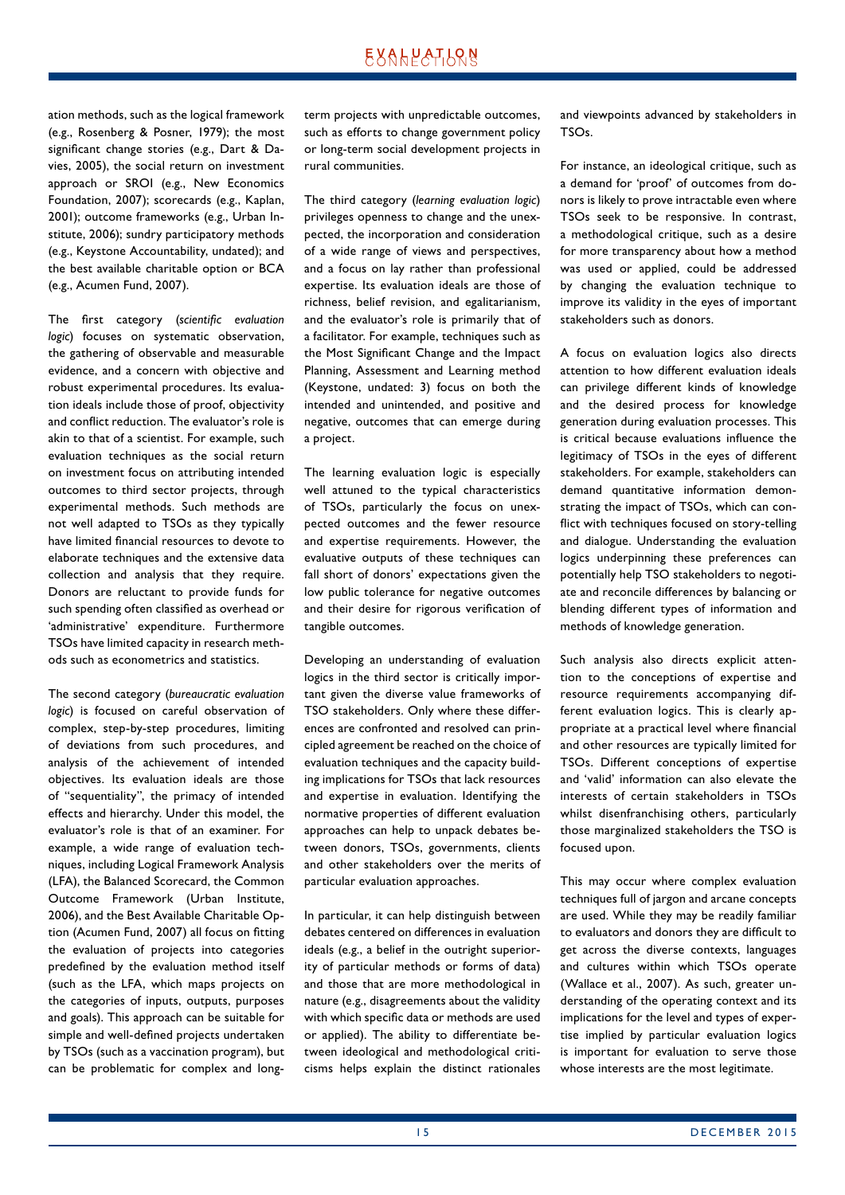## **EXALPATLQN**

ation methods, such as the logical framework (e.g., Rosenberg & Posner, 1979); the most significant change stories (e.g., Dart & Davies, 2005), the social return on investment approach or SROI (e.g., New Economics Foundation, 2007); scorecards (e.g., Kaplan, 2001); outcome frameworks (e.g., Urban Institute, 2006); sundry participatory methods (e.g., Keystone Accountability, undated); and the best available charitable option or BCA (e.g., Acumen Fund, 2007).

The first category (*scientific evaluation logic*) focuses on systematic observation, the gathering of observable and measurable evidence, and a concern with objective and robust experimental procedures. Its evaluation ideals include those of proof, objectivity and conflict reduction. The evaluator's role is akin to that of a scientist. For example, such evaluation techniques as the social return on investment focus on attributing intended outcomes to third sector projects, through experimental methods. Such methods are not well adapted to TSOs as they typically have limited financial resources to devote to elaborate techniques and the extensive data collection and analysis that they require. Donors are reluctant to provide funds for such spending often classified as overhead or 'administrative' expenditure. Furthermore TSOs have limited capacity in research methods such as econometrics and statistics.

The second category (*bureaucratic evaluation logic*) is focused on careful observation of complex, step-by-step procedures, limiting of deviations from such procedures, and analysis of the achievement of intended objectives. Its evaluation ideals are those of "sequentiality", the primacy of intended effects and hierarchy. Under this model, the evaluator's role is that of an examiner. For example, a wide range of evaluation techniques, including Logical Framework Analysis (LFA), the Balanced Scorecard, the Common Outcome Framework (Urban Institute, 2006), and the Best Available Charitable Option (Acumen Fund, 2007) all focus on fitting the evaluation of projects into categories predefined by the evaluation method itself (such as the LFA, which maps projects on the categories of inputs, outputs, purposes and goals). This approach can be suitable for simple and well-defined projects undertaken by TSOs (such as a vaccination program), but can be problematic for complex and longterm projects with unpredictable outcomes, such as efforts to change government policy or long-term social development projects in rural communities.

The third category (*learning evaluation logic*) privileges openness to change and the unexpected, the incorporation and consideration of a wide range of views and perspectives, and a focus on lay rather than professional expertise. Its evaluation ideals are those of richness, belief revision, and egalitarianism, and the evaluator's role is primarily that of a facilitator. For example, techniques such as the Most Significant Change and the Impact Planning, Assessment and Learning method (Keystone, undated: 3) focus on both the intended and unintended, and positive and negative, outcomes that can emerge during a project.

The learning evaluation logic is especially well attuned to the typical characteristics of TSOs, particularly the focus on unexpected outcomes and the fewer resource and expertise requirements. However, the evaluative outputs of these techniques can fall short of donors' expectations given the low public tolerance for negative outcomes and their desire for rigorous verification of tangible outcomes.

Developing an understanding of evaluation logics in the third sector is critically important given the diverse value frameworks of TSO stakeholders. Only where these differences are confronted and resolved can principled agreement be reached on the choice of evaluation techniques and the capacity building implications for TSOs that lack resources and expertise in evaluation. Identifying the normative properties of different evaluation approaches can help to unpack debates between donors, TSOs, governments, clients and other stakeholders over the merits of particular evaluation approaches.

In particular, it can help distinguish between debates centered on differences in evaluation ideals (e.g., a belief in the outright superiority of particular methods or forms of data) and those that are more methodological in nature (e.g., disagreements about the validity with which specific data or methods are used or applied). The ability to differentiate between ideological and methodological criticisms helps explain the distinct rationales and viewpoints advanced by stakeholders in TSOs.

For instance, an ideological critique, such as a demand for 'proof' of outcomes from donors is likely to prove intractable even where TSOs seek to be responsive. In contrast, a methodological critique, such as a desire for more transparency about how a method was used or applied, could be addressed by changing the evaluation technique to improve its validity in the eyes of important stakeholders such as donors.

A focus on evaluation logics also directs attention to how different evaluation ideals can privilege different kinds of knowledge and the desired process for knowledge generation during evaluation processes. This is critical because evaluations influence the legitimacy of TSOs in the eyes of different stakeholders. For example, stakeholders can demand quantitative information demonstrating the impact of TSOs, which can conflict with techniques focused on story-telling and dialogue. Understanding the evaluation logics underpinning these preferences can potentially help TSO stakeholders to negotiate and reconcile differences by balancing or blending different types of information and methods of knowledge generation.

Such analysis also directs explicit attention to the conceptions of expertise and resource requirements accompanying different evaluation logics. This is clearly appropriate at a practical level where financial and other resources are typically limited for TSOs. Different conceptions of expertise and 'valid' information can also elevate the interests of certain stakeholders in TSOs whilst disenfranchising others, particularly those marginalized stakeholders the TSO is focused upon.

This may occur where complex evaluation techniques full of jargon and arcane concepts are used. While they may be readily familiar to evaluators and donors they are difficult to get across the diverse contexts, languages and cultures within which TSOs operate (Wallace et al., 2007). As such, greater understanding of the operating context and its implications for the level and types of expertise implied by particular evaluation logics is important for evaluation to serve those whose interests are the most legitimate.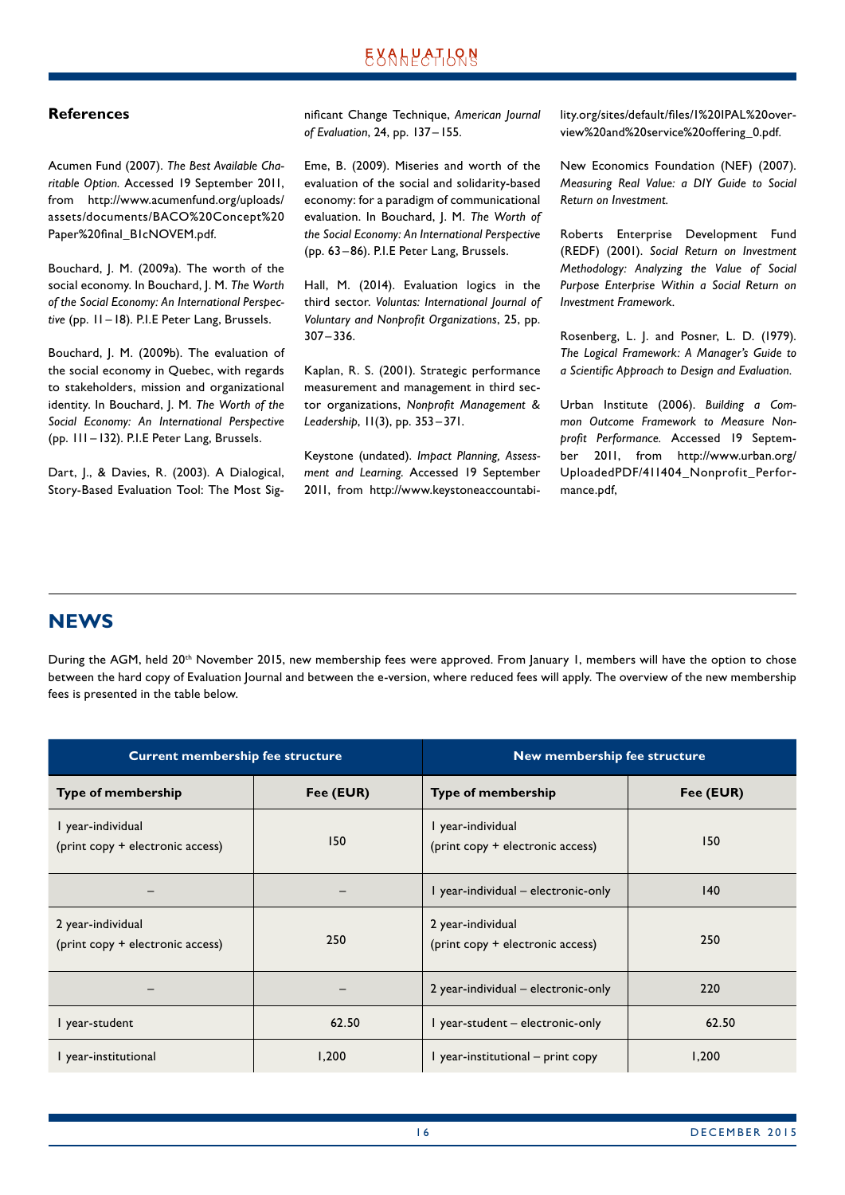#### <span id="page-15-0"></span>**References**

Acumen Fund (2007). *The Best Available Charitable Option.* Accessed 19 September 2011, from http://www.acumenfund.org/uploads/ assets/documents/BACO%20Concept%20 Paper%20final\_B1cNOVEM.pdf.

Bouchard, J. M. (2009a). The worth of the social economy. In Bouchard, J. M. *The Worth of the Social Economy: An International Perspective* (pp. 11–18). P.I.E Peter Lang, Brussels.

Bouchard, J. M. (2009b). The evaluation of the social economy in Quebec, with regards to stakeholders, mission and organizational identity. In Bouchard, J. M. *The Worth of the Social Economy: An International Perspective* (pp. 111– 132). P.I.E Peter Lang, Brussels.

Dart, J., & Davies, R. (2003). A Dialogical, Story-Based Evaluation Tool: The Most Significant Change Technique, *American Journal of Evaluation*, 24, pp. 137–155.

Eme, B. (2009). Miseries and worth of the evaluation of the social and solidarity-based economy: for a paradigm of communicational evaluation. In Bouchard, J. M. *The Worth of the Social Economy: An International Perspective* (pp. 63 –86). P.I.E Peter Lang, Brussels.

Hall, M. (2014). Evaluation logics in the third sector. *Voluntas: International Journal of Voluntary and Nonprofit Organizations*, 25, pp. 307 –336.

Kaplan, R. S. (2001). Strategic performance measurement and management in third sector organizations, *Nonprofit Management & Leadership*, 11(3), pp. 353 –371.

Keystone (undated). *Impact Planning, Assessment and Learning*. Accessed 19 September 2011, from http://www.keystoneaccountability.org/sites/default/files/1%20IPAL%20overview%20and%20service%20offering\_0.pdf.

New Economics Foundation (NEF) (2007). *Measuring Real Value: a DIY Guide to Social Return on Investment.*

Roberts Enterprise Development Fund (REDF) (2001). *Social Return on Investment Methodology: Analyzing the Value of Social Purpose Enterprise Within a Social Return on Investment Framework.*

Rosenberg, L. J. and Posner, L. D. (1979). *The Logical Framework: A Manager's Guide to a Scientific Approach to Design and Evaluation.*

Urban Institute (2006). *Building a Common Outcome Framework to Measure Nonprofit Performance.* Accessed 19 September 2011, from http://www.urban.org/ UploadedPDF/411404\_Nonprofit\_Performance.pdf,

### **NEWS**

During the AGM, held 20<sup>th</sup> November 2015, new membership fees were approved. From January 1, members will have the option to chose between the hard copy of Evaluation Journal and between the e-version, where reduced fees will apply. The overview of the new membership fees is presented in the table below.

| <b>Current membership fee structure</b>               |           | New membership fee structure                          |           |  |
|-------------------------------------------------------|-----------|-------------------------------------------------------|-----------|--|
| <b>Type of membership</b>                             | Fee (EUR) | <b>Type of membership</b>                             | Fee (EUR) |  |
| I year-individual<br>(print copy + electronic access) | 150       | l year-individual<br>(print copy + electronic access) | 150       |  |
|                                                       |           | I year-individual - electronic-only                   | 140       |  |
| 2 year-individual<br>(print copy + electronic access) | 250       | 2 year-individual<br>(print copy + electronic access) | 250       |  |
|                                                       |           | 2 year-individual – electronic-only                   | 220       |  |
| I year-student                                        | 62.50     | I year-student - electronic-only                      | 62.50     |  |
| I year-institutional                                  | 1,200     | l year-institutional – print copy                     | 1,200     |  |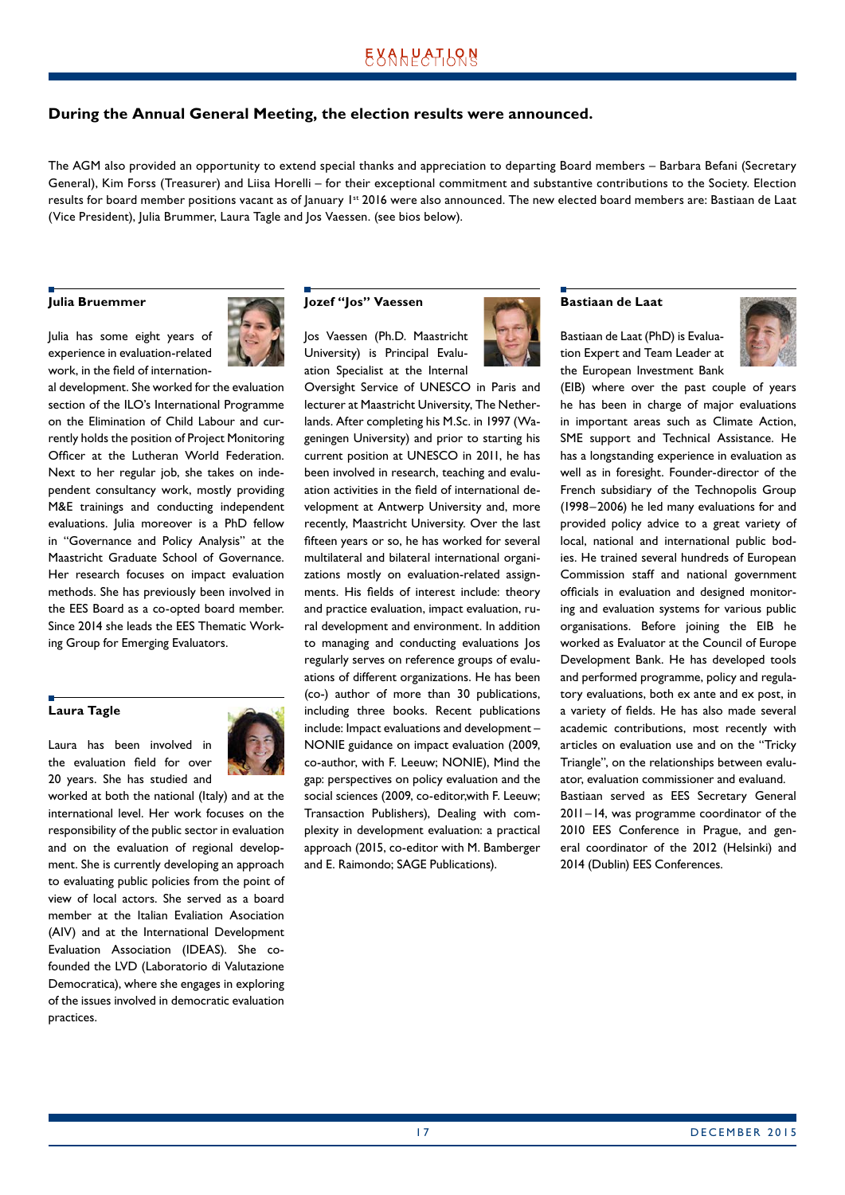## **EXALPATION**

#### **During the Annual General Meeting, the election results were announced.**

The AGM also provided an opportunity to extend special thanks and appreciation to departing Board members – Barbara Befani (Secretary General), Kim Forss (Treasurer) and Liisa Horelli – for their exceptional commitment and substantive contributions to the Society. Election results for board member positions vacant as of January 1st 2016 were also announced. The new elected board members are: Bastiaan de Laat (Vice President), Julia Brummer, Laura Tagle and Jos Vaessen. (see bios below).

#### **Julia Bruemmer**

Julia has some eight years of experience in evaluation-related work, in the field of internation-



al development. She worked for the evaluation section of the ILO's International Programme on the Elimination of Child Labour and currently holds the position of Project Monitoring Officer at the Lutheran World Federation. Next to her regular job, she takes on independent consultancy work, mostly providing M&E trainings and conducting independent evaluations. Julia moreover is a PhD fellow in "Governance and Policy Analysis" at the Maastricht Graduate School of Governance. Her research focuses on impact evaluation methods. She has previously been involved in the EES Board as a co-opted board member. Since 2014 she leads the EES Thematic Working Group for Emerging Evaluators.

#### **Laura Tagle**

Laura has been involved in the evaluation field for over 20 years. She has studied and



worked at both the national (Italy) and at the international level. Her work focuses on the responsibility of the public sector in evaluation and on the evaluation of regional development. She is currently developing an approach to evaluating public policies from the point of view of local actors. She served as a board member at the Italian Evaliation Asociation (AIV) and at the International Development Evaluation Association (IDEAS). She cofounded the LVD (Laboratorio di Valutazione Democratica), where she engages in exploring of the issues involved in democratic evaluation practices.

#### **Jozef "Jos" Vaessen**

Jos Vaessen (Ph.D. Maastricht University) is Principal Evaluation Specialist at the Internal Oversight Service of UNESCO in Paris and

lecturer at Maastricht University, The Netherlands. After completing his M.Sc. in 1997 (Wageningen University) and prior to starting his current position at UNESCO in 2011, he has been involved in research, teaching and evaluation activities in the field of international development at Antwerp University and, more recently, Maastricht University. Over the last fifteen years or so, he has worked for several multilateral and bilateral international organizations mostly on evaluation-related assignments. His fields of interest include: theory and practice evaluation, impact evaluation, rural development and environment. In addition to managing and conducting evaluations Jos regularly serves on reference groups of evaluations of different organizations. He has been (co-) author of more than 30 publications, including three books. Recent publications include: Impact evaluations and development – NONIE guidance on impact evaluation (2009, co-author, with F. Leeuw; NONIE), Mind the gap: perspectives on policy evaluation and the social sciences (2009, co-editor,with F. Leeuw; Transaction Publishers), Dealing with complexity in development evaluation: a practical approach (2015, co-editor with M. Bamberger and E. Raimondo; SAGE Publications).



#### **Bastiaan de Laat**

Bastiaan de Laat (PhD) is Evaluation Expert and Team Leader at the European Investment Bank



(EIB) where over the past couple of years he has been in charge of major evaluations in important areas such as Climate Action, SME support and Technical Assistance. He has a longstanding experience in evaluation as well as in foresight. Founder-director of the French subsidiary of the Technopolis Group (1998–2006) he led many evaluations for and provided policy advice to a great variety of local, national and international public bodies. He trained several hundreds of European Commission staff and national government officials in evaluation and designed monitoring and evaluation systems for various public organisations. Before joining the EIB he worked as Evaluator at the Council of Europe Development Bank. He has developed tools and performed programme, policy and regulatory evaluations, both ex ante and ex post, in a variety of fields. He has also made several academic contributions, most recently with articles on evaluation use and on the "Tricky Triangle", on the relationships between evaluator, evaluation commissioner and evaluand. Bastiaan served as EES Secretary General 2011–14, was programme coordinator of the 2010 EES Conference in Prague, and general coordinator of the 2012 (Helsinki) and

2014 (Dublin) EES Conferences.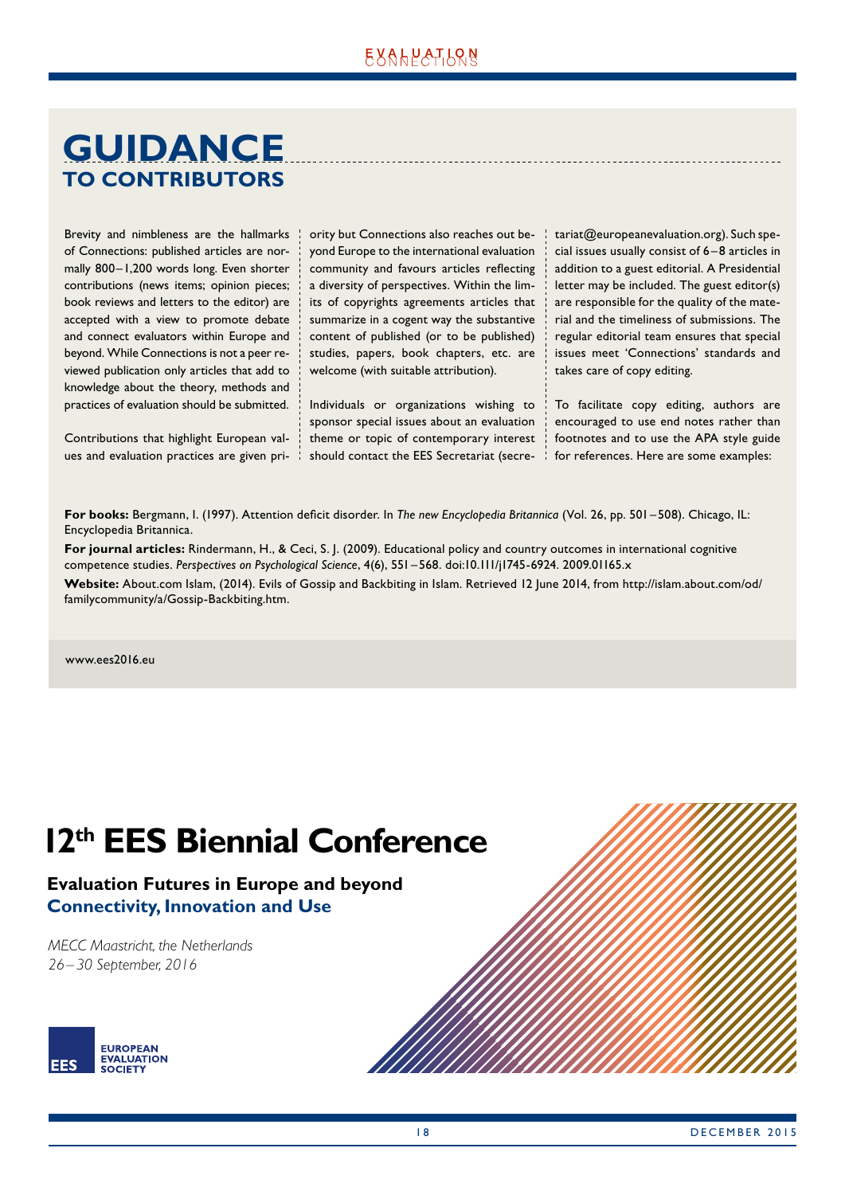## <span id="page-17-0"></span>**GUIDANCE TO CONTRIBUTORS**

Brevity and nimbleness are the hallmarks of Connections: published articles are normally 800–1,200 words long. Even shorter contributions (news items; opinion pieces; book reviews and letters to the editor) are accepted with a view to promote debate and connect evaluators within Europe and beyond. While Connections is not a peer reviewed publication only articles that add to knowledge about the theory, methods and practices of evaluation should be submitted.

Contributions that highlight European values and evaluation practices are given priority but Connections also reaches out beyond Europe to the international evaluation community and favours articles reflecting a diversity of perspectives. Within the limits of copyrights agreements articles that summarize in a cogent way the substantive content of published (or to be published) studies, papers, book chapters, etc. are welcome (with suitable attribution).

Individuals or organizations wishing to sponsor special issues about an evaluation theme or topic of contemporary interest should contact the EES Secretariat (secretariat@europeanevaluation.org). Such special issues usually consist of 6 – 8 articles in addition to a guest editorial. A Presidential letter may be included. The guest editor(s) are responsible for the quality of the material and the timeliness of submissions. The regular editorial team ensures that special issues meet 'Connections' standards and takes care of copy editing.

To facilitate copy editing, authors are encouraged to use end notes rather than footnotes and to use the APA style guide for references. Here are some examples:

**For books:** Bergmann, I. (1997). Attention deficit disorder. In *The new Encyclopedia Britannica* (Vol. 26, pp. 501 – 508). Chicago, IL: Encyclopedia Britannica.

**For journal articles:** Rindermann, H., & Ceci, S. J. (2009). Educational policy and country outcomes in international cognitive competence studies. *Perspectives on Psychological Science*, 4(6), 551–568. doi:10.111/j1745-6924. 2009.01165.x

**Website:** About.com Islam, (2014). Evils of Gossip and Backbiting in Islam. Retrieved 12 June 2014, from http://islam.about.com/od/ familycommunity/a/Gossip-Backbiting.htm.

www.ees2016.eu

# **12th EES Biennial Conference**

## **Evaluation Futures in Europe and beyond Connectivity, Innovation and Use**

*MECC Maastricht, the Netherlands 26–30 September, 2016*



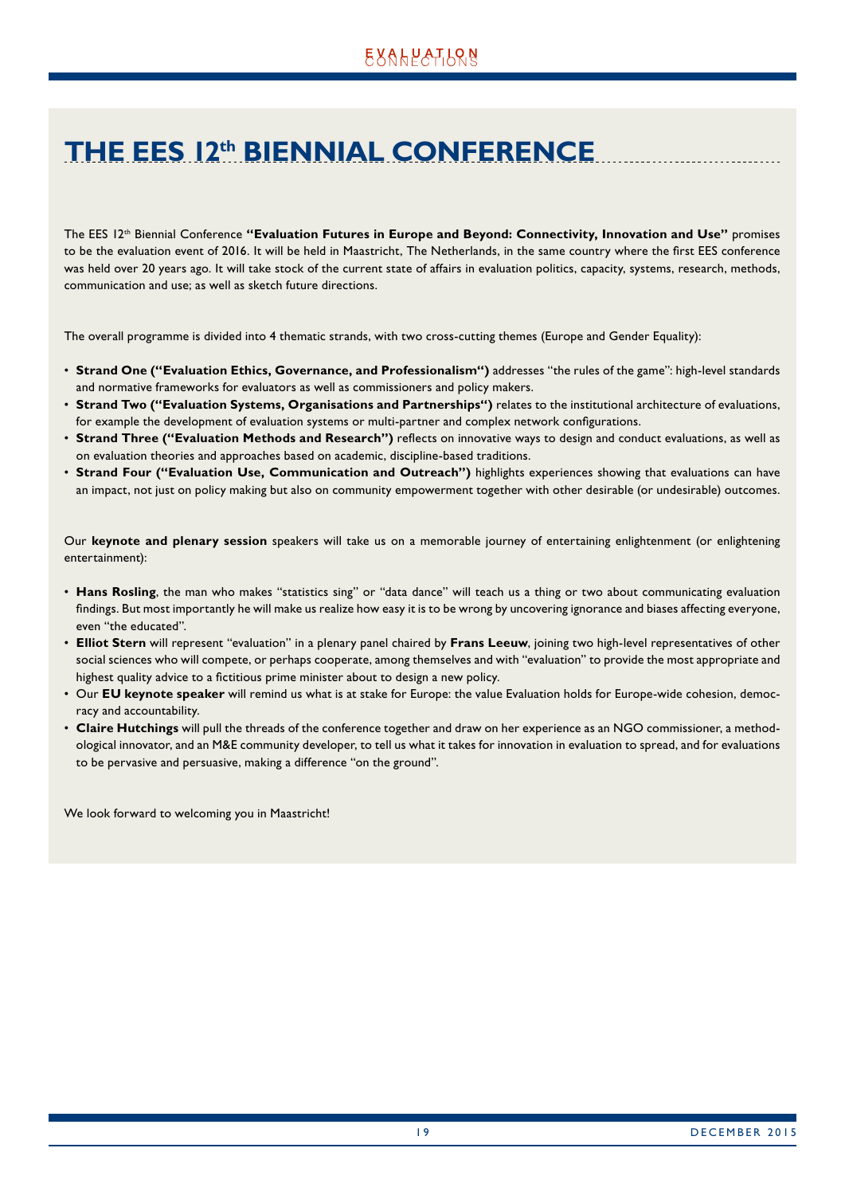## <span id="page-18-0"></span>**THE EES 12th BIENNIAL CONFERENCE**

The EES 12<sup>th</sup> Biennial Conference "Evaluation Futures in Europe and Beyond: Connectivity, Innovation and Use" promises to be the evaluation event of 2016. It will be held in Maastricht, The Netherlands, in the same country where the first EES conference was held over 20 years ago. It will take stock of the current state of affairs in evaluation politics, capacity, systems, research, methods, communication and use; as well as sketch future directions.

The overall programme is divided into 4 thematic strands, with two cross-cutting themes (Europe and Gender Equality):

- **Strand One ("Evaluation Ethics, Governance, and Professionalism")** addresses "the rules of the game": high-level standards and normative frameworks for evaluators as well as commissioners and policy makers.
- **Strand Two ("Evaluation Systems, Organisations and Partnerships")** relates to the institutional architecture of evaluations, for example the development of evaluation systems or multi-partner and complex network configurations.
- **Strand Three ("Evaluation Methods and Research")** reflects on innovative ways to design and conduct evaluations, as well as on evaluation theories and approaches based on academic, discipline-based traditions.
- **Strand Four ("Evaluation Use, Communication and Outreach")** highlights experiences showing that evaluations can have an impact, not just on policy making but also on community empowerment together with other desirable (or undesirable) outcomes.

Our **keynote and plenary session** speakers will take us on a memorable journey of entertaining enlightenment (or enlightening entertainment):

- **Hans Rosling**, the man who makes "statistics sing" or "data dance" will teach us a thing or two about communicating evaluation findings. But most importantly he will make us realize how easy it is to be wrong by uncovering ignorance and biases affecting everyone, even "the educated".
- **Elliot Stern** will represent "evaluation" in a plenary panel chaired by **Frans Leeuw**, joining two high-level representatives of other social sciences who will compete, or perhaps cooperate, among themselves and with "evaluation" to provide the most appropriate and highest quality advice to a fictitious prime minister about to design a new policy.
- Our **EU keynote speaker** will remind us what is at stake for Europe: the value Evaluation holds for Europe-wide cohesion, democracy and accountability.
- **Claire Hutchings** will pull the threads of the conference together and draw on her experience as an NGO commissioner, a methodological innovator, and an M&E community developer, to tell us what it takes for innovation in evaluation to spread, and for evaluations to be pervasive and persuasive, making a difference "on the ground".

We look forward to welcoming you in Maastricht!